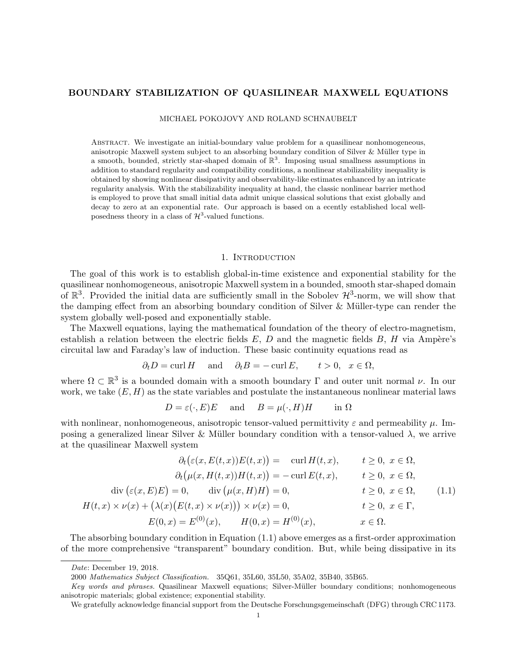## BOUNDARY STABILIZATION OF QUASILINEAR MAXWELL EQUATIONS

MICHAEL POKOJOVY AND ROLAND SCHNAUBELT

Abstract. We investigate an initial-boundary value problem for a quasilinear nonhomogeneous, anisotropic Maxwell system subject to an absorbing boundary condition of Silver & Müller type in a smooth, bounded, strictly star-shaped domain of  $\mathbb{R}^3$ . Imposing usual smallness assumptions in addition to standard regularity and compatibility conditions, a nonlinear stabilizability inequality is obtained by showing nonlinear dissipativity and observability-like estimates enhanced by an intricate regularity analysis. With the stabilizability inequality at hand, the classic nonlinear barrier method is employed to prove that small initial data admit unique classical solutions that exist globally and decay to zero at an exponential rate. Our approach is based on a ecently established local wellposedness theory in a class of  $\mathcal{H}^3$ -valued functions.

#### 1. INTRODUCTION

The goal of this work is to establish global-in-time existence and exponential stability for the quasilinear nonhomogeneous, anisotropic Maxwell system in a bounded, smooth star-shaped domain of  $\mathbb{R}^3$ . Provided the initial data are sufficiently small in the Sobolev  $\mathcal{H}^3$ -norm, we will show that the damping effect from an absorbing boundary condition of Silver & Müller-type can render the system globally well-posed and exponentially stable.

The Maxwell equations, laying the mathematical foundation of the theory of electro-magnetism, establish a relation between the electric fields  $E$ ,  $D$  and the magnetic fields  $B$ ,  $H$  via Ampère's circuital law and Faraday's law of induction. These basic continuity equations read as

$$
\partial_t D = \text{curl } H
$$
 and  $\partial_t B = -\text{curl } E$ ,  $t > 0$ ,  $x \in \Omega$ ,

where  $\Omega \subset \mathbb{R}^3$  is a bounded domain with a smooth boundary  $\Gamma$  and outer unit normal  $\nu$ . In our work, we take  $(E, H)$  as the state variables and postulate the instantaneous nonlinear material laws

$$
D = \varepsilon(\cdot, E)E
$$
 and  $B = \mu(\cdot, H)H$  in  $\Omega$ 

with nonlinear, nonhomogeneous, anisotropic tensor-valued permittivity  $\varepsilon$  and permeability  $\mu$ . Imposing a generalized linear Silver & Müller boundary condition with a tensor-valued  $\lambda$ , we arrive at the quasilinear Maxwell system

$$
\partial_t \big(\varepsilon(x, E(t, x))E(t, x)\big) = \operatorname{curl} H(t, x), \qquad t \ge 0, \ x \in \Omega,
$$

$$
\partial_t \big(\mu(x, H(t, x))H(t, x)\big) = -\operatorname{curl} E(t, x), \qquad t \ge 0, \ x \in \Omega,
$$

$$
\operatorname{div} \big(\varepsilon(x, E)E\big) = 0, \qquad \operatorname{div} \big(\mu(x, H)H\big) = 0, \qquad t \ge 0, \ x \in \Omega,
$$

$$
H(t, x) \times \nu(x) + \big(\lambda(x)\big(E(t, x) \times \nu(x)\big)\big) \times \nu(x) = 0, \qquad t \ge 0, \ x \in \Gamma,
$$

$$
E(0, x) = E^{(0)}(x), \qquad H(0, x) = H^{(0)}(x), \qquad x \in \Omega.
$$

The absorbing boundary condition in Equation (1.1) above emerges as a first-order approximation of the more comprehensive "transparent" boundary condition. But, while being dissipative in its

Date: December 19, 2018.

<sup>2000</sup> Mathematics Subject Classification. 35Q61, 35L60, 35L50, 35A02, 35B40, 35B65.

Key words and phrases. Quasilinear Maxwell equations; Silver-Müller boundary conditions; nonhomogeneous anisotropic materials; global existence; exponential stability.

We gratefully acknowledge financial support from the Deutsche Forschungsgemeinschaft (DFG) through CRC 1173.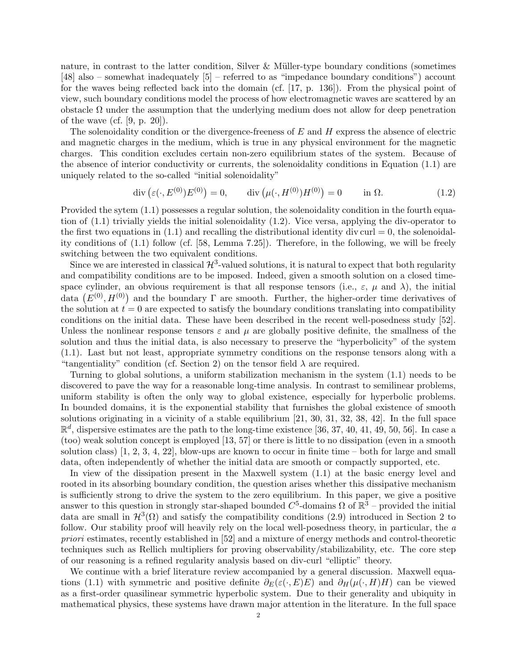nature, in contrast to the latter condition, Silver  $\&$  Müller-type boundary conditions (sometimes [48] also – somewhat inadequately [5] – referred to as "impedance boundary conditions") account for the waves being reflected back into the domain (cf. [17, p. 136]). From the physical point of view, such boundary conditions model the process of how electromagnetic waves are scattered by an obstacle  $\Omega$  under the assumption that the underlying medium does not allow for deep penetration of the wave (cf.  $[9, p. 20]$ ).

The solenoidality condition or the divergence-freeness of  $E$  and  $H$  express the absence of electric and magnetic charges in the medium, which is true in any physical environment for the magnetic charges. This condition excludes certain non-zero equilibrium states of the system. Because of the absence of interior conductivity or currents, the solenoidality conditions in Equation (1.1) are uniquely related to the so-called "initial solenoidality"

$$
\operatorname{div}\left(\varepsilon(\cdot, E^{(0)})E^{(0)}\right) = 0, \qquad \operatorname{div}\left(\mu(\cdot, H^{(0)})H^{(0)}\right) = 0 \qquad \text{in } \Omega. \tag{1.2}
$$

Provided the sytem (1.1) possesses a regular solution, the solenoidality condition in the fourth equation of (1.1) trivially yields the initial solenoidality (1.2). Vice versa, applying the div-operator to the first two equations in  $(1.1)$  and recalling the distributional identity div curl  $= 0$ , the solenoidality conditions of (1.1) follow (cf. [58, Lemma 7.25]). Therefore, in the following, we will be freely switching between the two equivalent conditions.

Since we are interested in classical  $\mathcal{H}^3$ -valued solutions, it is natural to expect that both regularity and compatibility conditions are to be imposed. Indeed, given a smooth solution on a closed timespace cylinder, an obvious requirement is that all response tensors (i.e.,  $\varepsilon$ ,  $\mu$  and  $\lambda$ ), the initial data  $(E^{(0)}, H^{(0)})$  and the boundary  $\Gamma$  are smooth. Further, the higher-order time derivatives of the solution at  $t = 0$  are expected to satisfy the boundary conditions translating into compatibility conditions on the initial data. These have been described in the recent well-posedness study [52]. Unless the nonlinear response tensors  $\varepsilon$  and  $\mu$  are globally positive definite, the smallness of the solution and thus the initial data, is also necessary to preserve the "hyperbolicity" of the system (1.1). Last but not least, appropriate symmetry conditions on the response tensors along with a "tangentiality" condition (cf. Section 2) on the tensor field  $\lambda$  are required.

Turning to global solutions, a uniform stabilization mechanism in the system (1.1) needs to be discovered to pave the way for a reasonable long-time analysis. In contrast to semilinear problems, uniform stability is often the only way to global existence, especially for hyperbolic problems. In bounded domains, it is the exponential stability that furnishes the global existence of smooth solutions originating in a vicinity of a stable equilibrium [21, 30, 31, 32, 38, 42]. In the full space  $\mathbb{R}^d$ , dispersive estimates are the path to the long-time existence [36, 37, 40, 41, 49, 50, 56]. In case a (too) weak solution concept is employed [13, 57] or there is little to no dissipation (even in a smooth solution class)  $\ket{1, 2, 3, 4, 22}$ , blow-ups are known to occur in finite time – both for large and small data, often independently of whether the initial data are smooth or compactly supported, etc.

In view of the dissipation present in the Maxwell system (1.1) at the basic energy level and rooted in its absorbing boundary condition, the question arises whether this dissipative mechanism is sufficiently strong to drive the system to the zero equilibrium. In this paper, we give a positive answer to this question in strongly star-shaped bounded  $C^5$ -domains  $\Omega$  of  $\mathbb{R}^3$  – provided the initial data are small in  $\mathcal{H}^3(\Omega)$  and satisfy the compatibility conditions (2.9) introduced in Section 2 to follow. Our stability proof will heavily rely on the local well-posedness theory, in particular, the a priori estimates, recently established in [52] and a mixture of energy methods and control-theoretic techniques such as Rellich multipliers for proving observability/stabilizability, etc. The core step of our reasoning is a refined regularity analysis based on div-curl "elliptic" theory.

We continue with a brief literature review accompanied by a general discussion. Maxwell equations (1.1) with symmetric and positive definite  $\partial_E(\varepsilon(\cdot,E)E)$  and  $\partial_H(\mu(\cdot,H)H)$  can be viewed as a first-order quasilinear symmetric hyperbolic system. Due to their generality and ubiquity in mathematical physics, these systems have drawn major attention in the literature. In the full space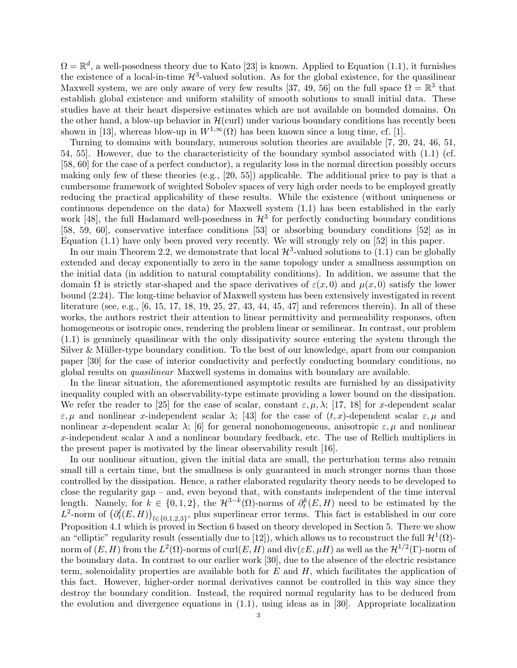$\Omega = \mathbb{R}^d$ , a well-posedness theory due to Kato [23] is known. Applied to Equation (1.1), it furnishes the existence of a local-in-time  $\mathcal{H}^3$ -valued solution. As for the global existence, for the quasilinear Maxwell system, we are only aware of very few results [37, 49, 56] on the full space  $\Omega = \mathbb{R}^3$  that establish global existence and uniform stability of smooth solutions to small initial data. These studies have at their heart dispersive estimates which are not available on bounded domains. On the other hand, a blow-up behavior in  $\mathcal{H}(\text{curl})$  under various boundary conditions has recently been shown in [13], whereas blow-up in  $W^{1,\infty}(\Omega)$  has been known since a long time, cf. [1].

Turning to domains with boundary, numerous solution theories are available [7, 20, 24, 46, 51, 54, 55]. However, due to the characteristicity of the boundary symbol associated with (1.1) (cf. [58, 60] for the case of a perfect conductor), a regularity loss in the normal direction possibly occurs making only few of these theories (e.g., [20, 55]) applicable. The additional price to pay is that a cumbersome framework of weighted Sobolev spaces of very high order needs to be employed greatly reducing the practical applicability of these results. While the existence (without uniqueness or continuous dependence on the data) for Maxwell system (1.1) has been established in the early work [48], the full Hadamard well-posedness in  $\mathcal{H}^3$  for perfectly conducting boundary conditions [58, 59, 60], conservative interface conditions [53] or absorbing boundary conditions [52] as in Equation (1.1) have only been proved very recently. We will strongly rely on [52] in this paper.

In our main Theorem 2.2, we demonstrate that local  $\mathcal{H}^3$ -valued solutions to (1.1) can be globally extended and decay exponentially to zero in the same topology under a smallness assumption on the initial data (in addition to natural comptability conditions). In addition, we assume that the domain  $\Omega$  is strictly star-shaped and the space derivatives of  $\varepsilon(x, 0)$  and  $\mu(x, 0)$  satisfy the lower bound (2.24). The long-time behavior of Maxwell system has been extensively investigated in recent literature (see, e.g., [6, 15, 17, 18, 19, 25, 27, 43, 44, 45, 47] and references therein). In all of these works, the authors restrict their attention to linear permittivity and permeability responses, often homogeneous or isotropic ones, rendering the problem linear or semilinear. In contrast, our problem (1.1) is genuinely quasilinear with the only dissipativity source entering the system through the Silver  $&$  Müller-type boundary condition. To the best of our knowledge, apart from our companion paper [30] for the case of interior conductivity and perfectly conducting boundary conditions, no global results on quasilinear Maxwell systems in domains with boundary are available.

In the linear situation, the aforementioned asymptotic results are furnished by an dissipativity inequality coupled with an observability-type estimate providing a lower bound on the dissipation. We refer the reader to [25] for the case of scalar, constant  $\varepsilon, \mu, \lambda$ ; [17, 18] for x-dependent scalar  $\varepsilon, \mu$  and nonlinear x-independent scalar  $\lambda$ ; [43] for the case of  $(t, x)$ -dependent scalar  $\varepsilon, \mu$  and nonlinear x-dependent scalar  $\lambda$ ; [6] for general nonohomogeneous, anisotropic  $\varepsilon, \mu$  and nonlinear x-independent scalar  $\lambda$  and a nonlinear boundary feedback, etc. The use of Rellich multipliers in the present paper is motivated by the linear observability result [16].

In our nonlinear situation, given the initial data are small, the perturbation terms also remain small till a certain time, but the smallness is only guaranteed in much stronger norms than those controlled by the dissipation. Hence, a rather elaborated regularity theory needs to be developed to close the regularity gap – and, even beyond that, with constants independent of the time interval length. Namely, for  $k \in \{0, 1, 2\}$ , the  $\mathcal{H}^{3-k}(\Omega)$ -norms of  $\partial_t^k(E, H)$  need to be estimated by the  $L^2$ -norm of  $(\partial_t^l(E, H))_{l \in \{0,1,2,3\}}$ , plus superlinear error terms. This fact is established in our core Proposition 4.1 which is proved in Section 6 based on theory developed in Section 5. There we show an "elliptic" regularity result (essentially due to [12]), which allows us to reconstruct the full  $\mathcal{H}^1(\Omega)$ norm of  $(E,H)$  from the  $L^2(\Omega)$ -norms of  $\mathrm{curl}(E,H)$  and  $\mathrm{div}(\varepsilon E,\mu H)$  as well as the  $\mathcal{H}^{1/2}(\Gamma)$ -norm of the boundary data. In contrast to our earlier work [30], due to the absence of the electric resistance term, solenoidality properties are available both for  $E$  and  $H$ , which facilitates the application of this fact. However, higher-order normal derivatives cannot be controlled in this way since they destroy the boundary condition. Instead, the required normal regularity has to be deduced from the evolution and divergence equations in (1.1), using ideas as in [30]. Appropriate localization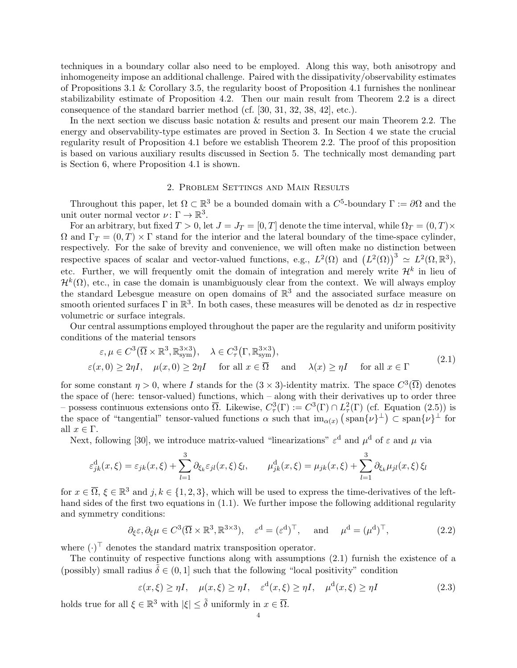techniques in a boundary collar also need to be employed. Along this way, both anisotropy and inhomogeneity impose an additional challenge. Paired with the dissipativity/observability estimates of Propositions 3.1 & Corollary 3.5, the regularity boost of Proposition 4.1 furnishes the nonlinear stabilizability estimate of Proposition 4.2. Then our main result from Theorem 2.2 is a direct consequence of the standard barrier method (cf. [30, 31, 32, 38, 42], etc.).

In the next section we discuss basic notation & results and present our main Theorem 2.2. The energy and observability-type estimates are proved in Section 3. In Section 4 we state the crucial regularity result of Proposition 4.1 before we establish Theorem 2.2. The proof of this proposition is based on various auxiliary results discussed in Section 5. The technically most demanding part is Section 6, where Proposition 4.1 is shown.

# 2. Problem Settings and Main Results

Throughout this paper, let  $\Omega \subset \mathbb{R}^3$  be a bounded domain with a  $C^5$ -boundary  $\Gamma := \partial\Omega$  and the unit outer normal vector  $\nu: \Gamma \to \mathbb{R}^3$ .

For an arbitrary, but fixed  $T > 0$ , let  $J = J_T = [0, T]$  denote the time interval, while  $\Omega_T = (0, T) \times$  $\Omega$  and  $\Gamma_T = (0, T) \times \Gamma$  stand for the interior and the lateral boundary of the time-space cylinder, respectively. For the sake of brevity and convenience, we will often make no distinction between respective spaces of scalar and vector-valued functions, e.g.,  $L^2(\Omega)$  and  $(L^2(\Omega))^3 \simeq L^2(\Omega,\mathbb{R}^3)$ , etc. Further, we will frequently omit the domain of integration and merely write  $\mathcal{H}^k$  in lieu of  $\mathcal{H}^k(\Omega)$ , etc., in case the domain is unambiguously clear from the context. We will always employ the standard Lebesgue measure on open domains of  $\mathbb{R}^3$  and the associated surface measure on smooth oriented surfaces  $\Gamma$  in  $\mathbb{R}^3$ . In both cases, these measures will be denoted as dx in respective volumetric or surface integrals.

Our central assumptions employed throughout the paper are the regularity and uniform positivity conditions of the material tensors

$$
\varepsilon, \mu \in C^{3}(\overline{\Omega} \times \mathbb{R}^{3}, \mathbb{R}^{3 \times 3}_{sym}), \quad \lambda \in C_{\tau}^{3}(\Gamma, \mathbb{R}^{3 \times 3}_{sym}), \n\varepsilon(x, 0) \ge 2\eta I, \quad \mu(x, 0) \ge 2\eta I \quad \text{for all } x \in \overline{\Omega} \quad \text{and} \quad \lambda(x) \ge \eta I \quad \text{for all } x \in \Gamma
$$
\n(2.1)

for some constant  $\eta > 0$ , where I stands for the  $(3 \times 3)$ -identity matrix. The space  $C^3(\overline{\Omega})$  denotes the space of (here: tensor-valued) functions, which – along with their derivatives up to order three possess continuous extensions onto  $\overline{\Omega}$ . Likewise,  $C^3_\tau(\Gamma) := C^3(\Gamma) \cap L^2_\tau(\Gamma)$  (cf. Equation (2.5)) is the space of "tangential" tensor-valued functions  $\alpha$  such that  $\text{im}_{\alpha(x)} (\text{span}\{\nu\}^{\perp}) \subset \text{span}\{\nu\}^{\perp}$  for all  $x \in \Gamma$ .

Next, following [30], we introduce matrix-valued "linearizations"  $\varepsilon^d$  and  $\mu^d$  of  $\varepsilon$  and  $\mu$  via

$$
\varepsilon_{jk}^{\mathrm{d}}(x,\xi) = \varepsilon_{jk}(x,\xi) + \sum_{l=1}^{3} \partial_{\xi_k} \varepsilon_{jl}(x,\xi) \xi_l, \qquad \mu_{jk}^{\mathrm{d}}(x,\xi) = \mu_{jk}(x,\xi) + \sum_{l=1}^{3} \partial_{\xi_k} \mu_{jl}(x,\xi) \xi_l
$$

for  $x \in \overline{\Omega}$ ,  $\xi \in \mathbb{R}^3$  and  $j, k \in \{1, 2, 3\}$ , which will be used to express the time-derivatives of the lefthand sides of the first two equations in (1.1). We further impose the following additional regularity and symmetry conditions:

$$
\partial_{\xi} \varepsilon, \partial_{\xi} \mu \in C^{3}(\overline{\Omega} \times \mathbb{R}^{3}, \mathbb{R}^{3 \times 3}), \quad \varepsilon^{d} = (\varepsilon^{d})^{\top}, \quad \text{and} \quad \mu^{d} = (\mu^{d})^{\top},
$$
\n(2.2)

where  $(\cdot)^{\top}$  denotes the standard matrix transposition operator.

The continuity of respective functions along with assumptions (2.1) furnish the existence of a (possibly) small radius  $\tilde{\delta} \in (0,1]$  such that the following "local positivity" condition

$$
\varepsilon(x,\xi) \ge \eta I, \quad \mu(x,\xi) \ge \eta I, \quad \varepsilon^{\mathrm{d}}(x,\xi) \ge \eta I, \quad \mu^{\mathrm{d}}(x,\xi) \ge \eta I \tag{2.3}
$$

holds true for all  $\xi \in \mathbb{R}^3$  with  $|\xi| \leq \tilde{\delta}$  uniformly in  $x \in \overline{\Omega}$ .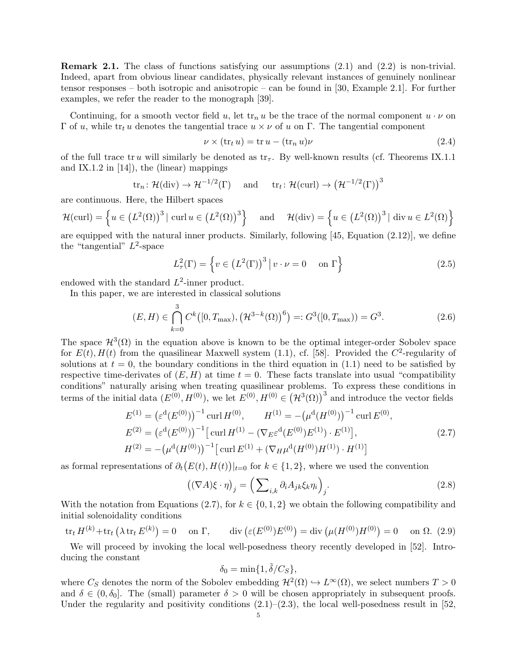Remark 2.1. The class of functions satisfying our assumptions (2.1) and (2.2) is non-trivial. Indeed, apart from obvious linear candidates, physically relevant instances of genuinely nonlinear tensor responses – both isotropic and anisotropic – can be found in [30, Example 2.1]. For further examples, we refer the reader to the monograph [39].

Continuing, for a smooth vector field u, let  $\text{tr}_n u$  be the trace of the normal component  $u \cdot \nu$  on Γ of u, while tr<sub>t</sub> u denotes the tangential trace  $u \times \nu$  of u on Γ. The tangential component

$$
\nu \times (\text{tr}_t u) = \text{tr } u - (\text{tr}_n u)\nu \tag{2.4}
$$

of the full trace tr u will similarly be denoted as  $tr_{\tau}$ . By well-known results (cf. Theorems IX.1.1) and IX.1.2 in  $[14]$ , the (linear) mappings

$$
tr_n
$$
:  $\mathcal{H}(\text{div}) \to \mathcal{H}^{-1/2}(\Gamma)$  and  $tr_t$ :  $\mathcal{H}(\text{curl}) \to (\mathcal{H}^{-1/2}(\Gamma))^3$ 

are continuous. Here, the Hilbert spaces

$$
\mathcal{H}(\text{curl}) = \left\{ u \in \left( L^2(\Omega) \right)^3 \mid \text{curl } u \in \left( L^2(\Omega) \right)^3 \right\} \quad \text{and} \quad \mathcal{H}(\text{div}) = \left\{ u \in \left( L^2(\Omega) \right)^3 \mid \text{div } u \in L^2(\Omega) \right\}
$$

are equipped with the natural inner products. Similarly, following [45, Equation (2.12)], we define the "tangential"  $L^2$ -space

$$
L^2(\Gamma) = \left\{ v \in \left( L^2(\Gamma) \right)^3 \middle| \, v \cdot \nu = 0 \quad \text{on } \Gamma \right\} \tag{2.5}
$$

endowed with the standard  $L^2$ -inner product.

In this paper, we are interested in classical solutions

$$
(E, H) \in \bigcap_{k=0}^{3} C^{k}([0, T_{\max}), (\mathcal{H}^{3-k}(\Omega))^6) =: G^{3}([0, T_{\max})) = G^{3}.
$$
 (2.6)

The space  $\mathcal{H}^{3}(\Omega)$  in the equation above is known to be the optimal integer-order Sobolev space for  $E(t)$ ,  $H(t)$  from the quasilinear Maxwell system (1.1), cf. [58]. Provided the  $C^2$ -regularity of solutions at  $t = 0$ , the boundary conditions in the third equation in (1.1) need to be satisfied by respective time-derivates of  $(E, H)$  at time  $t = 0$ . These facts translate into usual "compatibility" conditions" naturally arising when treating quasilinear problems. To express these conditions in terms of the initial data  $(E^{(0)}, H^{(0)})$ , we let  $E^{(0)}, H^{(0)} \in (\mathcal{H}^3(\Omega))^3$  and introduce the vector fields

$$
E^{(1)} = (\varepsilon^{d}(E^{(0)}))^{-1} \operatorname{curl} H^{(0)}, \qquad H^{(1)} = -(\mu^{d}(H^{(0)}))^{-1} \operatorname{curl} E^{(0)},
$$
  
\n
$$
E^{(2)} = (\varepsilon^{d}(E^{(0)}))^{-1} \left[ \operatorname{curl} H^{(1)} - (\nabla_{E} \varepsilon^{d}(E^{(0)}) E^{(1)}) \cdot E^{(1)} \right],
$$
  
\n
$$
H^{(2)} = -(\mu^{d}(H^{(0)}))^{-1} \left[ \operatorname{curl} E^{(1)} + (\nabla_{H} \mu^{d}(H^{(0)}) H^{(1)}) \cdot H^{(1)} \right]
$$
\n(2.7)

as formal representations of  $\partial_t(E(t), H(t))|_{t=0}$  for  $k \in \{1, 2\}$ , where we used the convention

$$
\left( (\nabla A)\xi \cdot \eta \right)_j = \left( \sum_{i,k} \partial_i A_{jk} \xi_k \eta_i \right)_j. \tag{2.8}
$$

With the notation from Equations (2.7), for  $k \in \{0, 1, 2\}$  we obtain the following compatibility and initial solenoidality conditions

$$
\operatorname{tr}_t H^{(k)} + \operatorname{tr}_t \left( \lambda \operatorname{tr}_t E^{(k)} \right) = 0 \quad \text{on } \Gamma, \qquad \operatorname{div} \left( \varepsilon(E^{(0)}) E^{(0)} \right) = \operatorname{div} \left( \mu(H^{(0)}) H^{(0)} \right) = 0 \quad \text{on } \Omega. \tag{2.9}
$$

We will proceed by invoking the local well-posedness theory recently developed in [52]. Introducing the constant

$$
\delta_0 = \min\{1, \tilde{\delta}/C_S\},\
$$

where  $C_S$  denotes the norm of the Sobolev embedding  $\mathcal{H}^2(\Omega) \hookrightarrow L^{\infty}(\Omega)$ , we select numbers  $T > 0$ and  $\delta \in (0, \delta_0]$ . The (small) parameter  $\delta > 0$  will be chosen appropriately in subsequent proofs. Under the regularity and positivity conditions  $(2.1)$ – $(2.3)$ , the local well-posedness result in [52,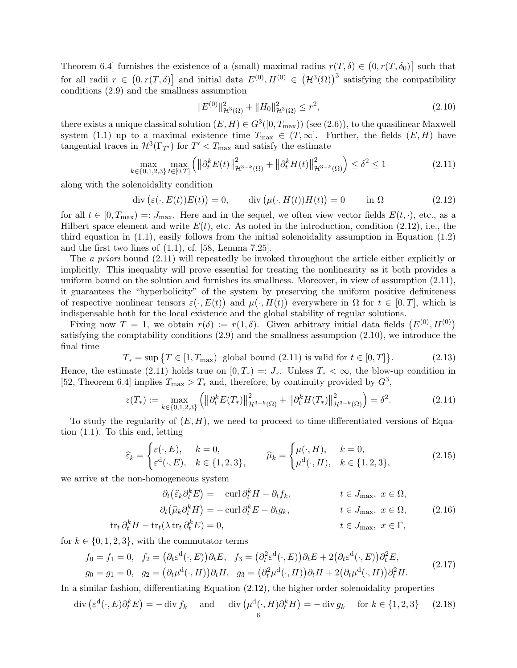Theorem 6.4] furnishes the existence of a (small) maximal radius  $r(T, \delta) \in (0, r(T, \delta_0)]$  such that for all radii  $r \in (0, r(T, \delta))$  and initial data  $E^{(0)}, H^{(0)} \in (\mathcal{H}^3(\Omega))^3$  satisfying the compatibility conditions (2.9) and the smallness assumption

$$
||E^{(0)}||_{\mathcal{H}^{3}(\Omega)}^{2} + ||H_{0}||_{\mathcal{H}^{3}(\Omega)}^{2} \leq r^{2},
$$
\n(2.10)

there exists a unique classical solution  $(E, H) \in G^3([0, T_{\text{max}}))$  (see  $(2.6)$ ), to the quasilinear Maxwell system (1.1) up to a maximal existence time  $T_{\text{max}} \in (T, \infty]$ . Further, the fields  $(E, H)$  have tangential traces in  $\mathcal{H}^3(\Gamma_{T'})$  for  $T' < T_{\text{max}}$  and satisfy the estimate

$$
\max_{k \in \{0,1,2,3\}} \max_{t \in [0,T]} \left( \left\| \partial_t^k E(t) \right\|_{\mathcal{H}^{3-k}(\Omega)}^2 + \left\| \partial_t^k H(t) \right\|_{\mathcal{H}^{3-k}(\Omega)}^2 \right) \le \delta^2 \le 1 \tag{2.11}
$$

along with the solenoidality condition

$$
\operatorname{div}\left(\varepsilon(\cdot,E(t))E(t)\right) = 0, \qquad \operatorname{div}\left(\mu(\cdot,H(t))H(t)\right) = 0 \qquad \text{in } \Omega \tag{2.12}
$$

for all  $t \in [0, T_{\text{max}}) =: J_{\text{max}}$ . Here and in the sequel, we often view vector fields  $E(t, \cdot)$ , etc., as a Hilbert space element and write  $E(t)$ , etc. As noted in the introduction, condition (2.12), i.e., the third equation in  $(1.1)$ , easily follows from the initial solenoidality assumption in Equation  $(1.2)$ and the first two lines of (1.1), cf. [58, Lemma 7.25].

The a priori bound  $(2.11)$  will repeatedly be invoked throughout the article either explicitly or implicitly. This inequality will prove essential for treating the nonlinearity as it both provides a uniform bound on the solution and furnishes its smallness. Moreover, in view of assumption (2.11), it guarantees the "hyperbolicity" of the system by preserving the uniform positive definiteness of respective nonlinear tensors  $\varepsilon(\cdot, E(t))$  and  $\mu(\cdot, H(t))$  everywhere in  $\Omega$  for  $t \in [0, T]$ , which is indispensable both for the local existence and the global stability of regular solutions.

Fixing now  $T = 1$ , we obtain  $r(\delta) := r(1, \delta)$ . Given arbitrary initial data fields  $(E^{(0)}, H^{(0)})$ satisfying the comptability conditions (2.9) and the smallness assumption (2.10), we introduce the final time

$$
T_* = \sup \{ T \in [1, T_{\text{max}}) \, | \,\text{global bound (2.11) is valid for } t \in [0, T] \}. \tag{2.13}
$$

Hence, the estimate (2.11) holds true on  $[0, T_*) =: J_*$ . Unless  $T_* < \infty$ , the blow-up condition in [52, Theorem 6.4] implies  $T_{\text{max}} > T_*$  and, therefore, by continuity provided by  $G^3$ ,

$$
z(T_*) := \max_{k \in \{0, 1, 2, 3\}} \left( \left\| \partial_t^k E(T_*) \right\|_{\mathcal{H}^{3-k}(\Omega)}^2 + \left\| \partial_t^k H(T_*) \right\|_{\mathcal{H}^{3-k}(\Omega)}^2 \right) = \delta^2. \tag{2.14}
$$

To study the regularity of  $(E, H)$ , we need to proceed to time-differentiated versions of Equation (1.1). To this end, letting

$$
\widehat{\varepsilon}_k = \begin{cases} \varepsilon(\cdot, E), & k = 0, \\ \varepsilon^{\mathbf{d}}(\cdot, E), & k \in \{1, 2, 3\}, \end{cases} \qquad \widehat{\mu}_k = \begin{cases} \mu(\cdot, H), & k = 0, \\ \mu^{\mathbf{d}}(\cdot, H), & k \in \{1, 2, 3\}, \end{cases}
$$
(2.15)

we arrive at the non-homogeneous system

$$
\partial_t(\widehat{\varepsilon}_k \partial_t^k E) = \operatorname{curl} \partial_t^k H - \partial_t f_k, \qquad t \in J_{\text{max}}, \ x \in \Omega, \n\partial_t(\widehat{\mu}_k \partial_t^k H) = -\operatorname{curl} \partial_t^k E - \partial_t g_k, \qquad t \in J_{\text{max}}, \ x \in \Omega, \n\operatorname{tr}_t \partial_t^k H - \operatorname{tr}_t(\lambda \operatorname{tr}_t \partial_t^k E) = 0, \qquad t \in J_{\text{max}}, \ x \in \Gamma,
$$
\n(2.16)

for  $k \in \{0, 1, 2, 3\}$ , with the commutator terms

$$
f_0 = f_1 = 0, \quad f_2 = (\partial_t \varepsilon^d(\cdot, E))\partial_t E, \quad f_3 = (\partial_t^2 \varepsilon^d(\cdot, E))\partial_t E + 2(\partial_t \varepsilon^d(\cdot, E))\partial_t^2 E,
$$
  
\n
$$
g_0 = g_1 = 0, \quad g_2 = (\partial_t \mu^d(\cdot, H))\partial_t H, \quad g_3 = (\partial_t^2 \mu^d(\cdot, H))\partial_t H + 2(\partial_t \mu^d(\cdot, H))\partial_t^2 H.
$$
\n(2.17)

In a similar fashion, differentiating Equation (2.12), the higher-order solenoidality properties

$$
\operatorname{div}\left(\varepsilon^{\mathbf{d}}(\cdot,E)\partial_t^k E\right) = -\operatorname{div} f_k \quad \text{and} \quad \operatorname{div}\left(\mu^{\mathbf{d}}(\cdot,H)\partial_t^k H\right) = -\operatorname{div} g_k \quad \text{for } k \in \{1,2,3\} \tag{2.18}
$$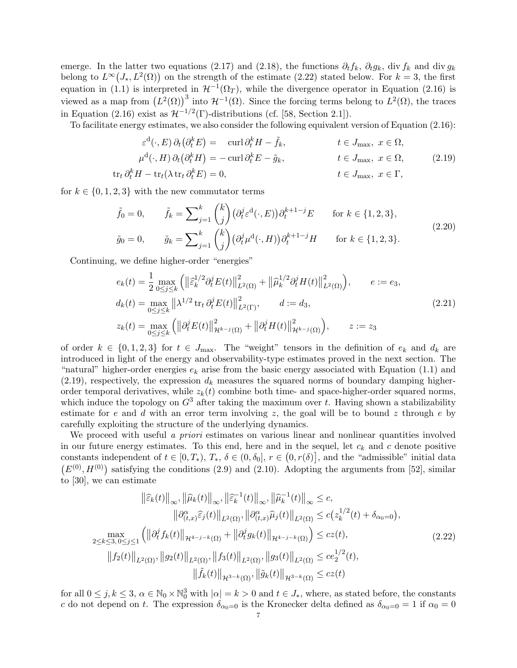emerge. In the latter two equations (2.17) and (2.18), the functions  $\partial_t f_k$ ,  $\partial_t g_k$ , div  $f_k$  and div  $g_k$ belong to  $L^{\infty}(J_*, L^2(\Omega))$  on the strength of the estimate (2.22) stated below. For  $k = 3$ , the first equation in (1.1) is interpreted in  $\mathcal{H}^{-1}(\Omega_T)$ , while the divergence operator in Equation (2.16) is viewed as a map from  $(L^2(\Omega))^3$  into  $\mathcal{H}^{-1}(\Omega)$ . Since the forcing terms belong to  $L^2(\Omega)$ , the traces in Equation (2.16) exist as  $\mathcal{H}^{-1/2}(\Gamma)$ -distributions (cf. [58, Section 2.1]).

To facilitate energy estimates, we also consider the following equivalent version of Equation (2.16):

$$
\varepsilon^{d}(\cdot, E) \partial_{t} (\partial_{t}^{k} E) = \operatorname{curl} \partial_{t}^{k} H - \tilde{f}_{k}, \qquad t \in J_{\text{max}}, \ x \in \Omega, \n\mu^{d}(\cdot, H) \partial_{t} (\partial_{t}^{k} H) = -\operatorname{curl} \partial_{t}^{k} E - \tilde{g}_{k}, \qquad t \in J_{\text{max}}, \ x \in \Omega, \n\downarrow t \in I, \ x \in \Gamma
$$
\n(2.19)

$$
\operatorname{tr}_{t} \partial_{t}^{k} H - \operatorname{tr}_{t} (\lambda \operatorname{tr}_{t} \partial_{t}^{k} E) = 0, \qquad t \in J_{\text{max}}, \ x \in \Gamma,
$$

for  $k \in \{0, 1, 2, 3\}$  with the new commutator terms

$$
\tilde{f}_0 = 0, \qquad \tilde{f}_k = \sum_{j=1}^k {k \choose j} (\partial_t^j \varepsilon^d(\cdot, E)) \partial_t^{k+1-j} E \qquad \text{for } k \in \{1, 2, 3\},
$$
\n
$$
\tilde{g}_0 = 0, \qquad \tilde{g}_k = \sum_{j=1}^k {k \choose j} (\partial_t^j \mu^d(\cdot, H)) \partial_t^{k+1-j} H \qquad \text{for } k \in \{1, 2, 3\}. \tag{2.20}
$$

Continuing, we define higher-order "energies"

$$
e_k(t) = \frac{1}{2} \max_{0 \le j \le k} \left( \left\| \hat{\varepsilon}_k^{1/2} \partial_t^j E(t) \right\|_{L^2(\Omega)}^2 + \left\| \hat{\mu}_k^{1/2} \partial_t^j H(t) \right\|_{L^2(\Omega)}^2 \right), \qquad e := e_3,
$$
  
\n
$$
d_k(t) = \max_{0 \le j \le k} \left\| \lambda^{1/2} \operatorname{tr}_t \partial_t^j E(t) \right\|_{L^2(\Gamma)}^2, \qquad d := d_3,
$$
  
\n
$$
z_k(t) = \max_{0 \le j \le k} \left( \left\| \partial_t^j E(t) \right\|_{\mathcal{H}^{k-j}(\Omega)}^2 + \left\| \partial_t^j H(t) \right\|_{\mathcal{H}^{k-j}(\Omega)}^2 \right), \qquad z := z_3
$$
\n(2.21)

of order  $k \in \{0, 1, 2, 3\}$  for  $t \in J_{\text{max}}$ . The "weight" tensors in the definition of  $e_k$  and  $d_k$  are introduced in light of the energy and observability-type estimates proved in the next section. The "natural" higher-order energies  $e_k$  arise from the basic energy associated with Equation (1.1) and  $(2.19)$ , respectively, the expression  $d_k$  measures the squared norms of boundary damping higherorder temporal derivatives, while  $z_k(t)$  combine both time- and space-higher-order squared norms, which induce the topology on  $G^3$  after taking the maximum over t. Having shown a stabilizability estimate for e and d with an error term involving z, the goal will be to bound z through e by carefully exploiting the structure of the underlying dynamics.

We proceed with useful a priori estimates on various linear and nonlinear quantities involved in our future energy estimates. To this end, here and in the sequel, let  $c_k$  and c denote positive constants independent of  $t \in [0, T_*)$ ,  $T_*$ ,  $\delta \in (0, \delta_0]$ ,  $r \in (0, r(\delta))$ , and the "admissible" initial data  $(E^{(0)}, H^{(0)})$  satisfying the conditions (2.9) and (2.10). Adopting the arguments from [52], similar to [30], we can estimate

$$
\|\hat{\varepsilon}_{k}(t)\|_{\infty}, \|\hat{\mu}_{k}(t)\|_{\infty}, \|\hat{\varepsilon}_{k}^{-1}(t)\|_{\infty}, \|\hat{\mu}_{k}^{-1}(t)\|_{\infty} \leq c,
$$
  
\n
$$
\|\partial_{(t,x)}^{\alpha}\hat{\varepsilon}_{j}(t)\|_{L^{2}(\Omega)}, \|\partial_{(t,x)}^{\alpha}\hat{\mu}_{j}(t)\|_{L^{2}(\Omega)} \leq c(z_{k}^{1/2}(t) + \delta_{\alpha_{0}=0}),
$$
  
\n
$$
\max_{2 \leq k \leq 3, 0 \leq j \leq 1} \left( \|\partial_{t}^{j} f_{k}(t)\|_{\mathcal{H}^{4-j-k}(\Omega)} + \|\partial_{t}^{j} g_{k}(t)\|_{\mathcal{H}^{4-j-k}(\Omega)} \right) \leq cz(t),
$$
  
\n
$$
\|f_{2}(t)\|_{L^{2}(\Omega)}, \|g_{2}(t)\|_{L^{2}(\Omega)}, \|f_{3}(t)\|_{L^{2}(\Omega)}, \|g_{3}(t)\|_{L^{2}(\Omega)} \leq ce_{2}^{1/2}(t),
$$
  
\n
$$
\|\tilde{f}_{k}(t)\|_{\mathcal{H}^{3-k}(\Omega)}, \|\tilde{g}_{k}(t)\|_{\mathcal{H}^{3-k}(\Omega)} \leq cz(t)
$$
  
\n(2.22)

for all  $0 \le j, k \le 3$ ,  $\alpha \in \mathbb{N}_0 \times \mathbb{N}_0^3$  with  $|\alpha| = k > 0$  and  $t \in J_*$ , where, as stated before, the constants c do not depend on t. The expression  $\delta_{\alpha_0=0}$  is the Kronecker delta defined as  $\delta_{\alpha_0=0}=1$  if  $\alpha_0=0$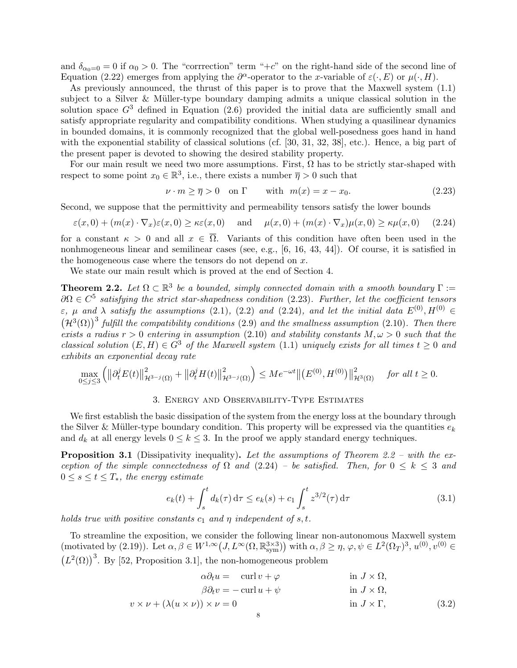and  $\delta_{\alpha_0=0}=0$  if  $\alpha_0>0$ . The "corrrection" term "+c" on the right-hand side of the second line of Equation (2.22) emerges from applying the  $\partial^{\alpha}$ -operator to the x-variable of  $\varepsilon(\cdot, E)$  or  $\mu(\cdot, H)$ .

As previously announced, the thrust of this paper is to prove that the Maxwell system (1.1) subject to a Silver & Müller-type boundary damping admits a unique classical solution in the solution space  $G<sup>3</sup>$  defined in Equation (2.6) provided the initial data are sufficiently small and satisfy appropriate regularity and compatibility conditions. When studying a quasilinear dynamics in bounded domains, it is commonly recognized that the global well-posedness goes hand in hand with the exponential stability of classical solutions (cf. [30, 31, 32, 38], etc.). Hence, a big part of the present paper is devoted to showing the desired stability property.

For our main result we need two more assumptions. First,  $\Omega$  has to be strictly star-shaped with respect to some point  $x_0 \in \mathbb{R}^3$ , i.e., there exists a number  $\overline{\eta} > 0$  such that

$$
\nu \cdot m \ge \overline{\eta} > 0 \quad \text{on } \Gamma \qquad \text{with } m(x) = x - x_0. \tag{2.23}
$$

Second, we suppose that the permittivity and permeability tensors satisfy the lower bounds

$$
\varepsilon(x,0) + (m(x) \cdot \nabla_x)\varepsilon(x,0) \ge \kappa \varepsilon(x,0) \quad \text{and} \quad \mu(x,0) + (m(x) \cdot \nabla_x)\mu(x,0) \ge \kappa \mu(x,0) \tag{2.24}
$$

for a constant  $\kappa > 0$  and all  $x \in \overline{\Omega}$ . Variants of this condition have often been used in the nonhmogeneous linear and semilinear cases (see, e.g., [6, 16, 43, 44]). Of course, it is satisfied in the homogeneous case where the tensors do not depend on  $x$ .

We state our main result which is proved at the end of Section 4.

**Theorem 2.2.** Let  $\Omega \subset \mathbb{R}^3$  be a bounded, simply connected domain with a smooth boundary  $\Gamma :=$  $\partial\Omega \in C^5$  satisfying the strict star-shapedness condition (2.23). Further, let the coefficient tensors  $\varepsilon$ ,  $\mu$  and  $\lambda$  satisfy the assumptions (2.1), (2.2) and (2.24), and let the initial data  $E^{(0)}, H^{(0)} \in$  $(\mathcal{H}^3(\Omega))^3$  fulfill the compatibility conditions (2.9) and the smallness assumption (2.10). Then there exists a radius  $r > 0$  entering in assumption (2.10) and stability constants  $M, \omega > 0$  such that the classical solution  $(E, H) \in G^3$  of the Maxwell system (1.1) uniquely exists for all times  $t > 0$  and exhibits an exponential decay rate

$$
\max_{0 \le j \le 3} \left( \left\| \partial_t^j E(t) \right\|_{\mathcal{H}^{3-j}(\Omega)}^2 + \left\| \partial_t^j H(t) \right\|_{\mathcal{H}^{3-j}(\Omega)}^2 \right) \le Me^{-\omega t} \left\| \left( E^{(0)}, H^{(0)} \right) \right\|_{\mathcal{H}^3(\Omega)}^2 \quad \text{for all } t \ge 0.
$$

#### 3. Energy and Observability-Type Estimates

We first establish the basic dissipation of the system from the energy loss at the boundary through the Silver & Müller-type boundary condition. This property will be expressed via the quantities  $e_k$ and  $d_k$  at all energy levels  $0 \leq k \leq 3$ . In the proof we apply standard energy techniques.

**Proposition 3.1** (Dissipativity inequality). Let the assumptions of Theorem 2.2 – with the exception of the simple connectedness of  $\Omega$  and  $(2.24)$  – be satisfied. Then, for  $0 \leq k \leq 3$  and  $0 \leq s \leq t \leq T_*$ , the energy estimate

$$
e_k(t) + \int_s^t d_k(\tau) d\tau \le e_k(s) + c_1 \int_s^t z^{3/2}(\tau) d\tau
$$
 (3.1)

holds true with positive constants  $c_1$  and  $\eta$  independent of  $s, t$ .

To streamline the exposition, we consider the following linear non-autonomous Maxwell system (motivated by (2.19)). Let  $\alpha, \beta \in W^{1,\infty}(J, L^{\infty}(\Omega, \mathbb{R}^{3\times 3}_{sym}))$  with  $\alpha, \beta \geq \eta$ ,  $\varphi, \psi \in L^{2}(\Omega_{T})^{3}$ ,  $u^{(0)}, v^{(0)} \in$  $(L^2(\Omega))^3$ . By [52, Proposition 3.1], the non-homogeneous problem

$$
\alpha \partial_t u = \operatorname{curl} v + \varphi \qquad \text{in } J \times \Omega,
$$
  
\n
$$
\beta \partial_t v = -\operatorname{curl} u + \psi \qquad \text{in } J \times \Omega,
$$
  
\n
$$
v \times \nu + (\lambda (u \times \nu)) \times \nu = 0 \qquad \text{in } J \times \Gamma,
$$
  
\n(3.2)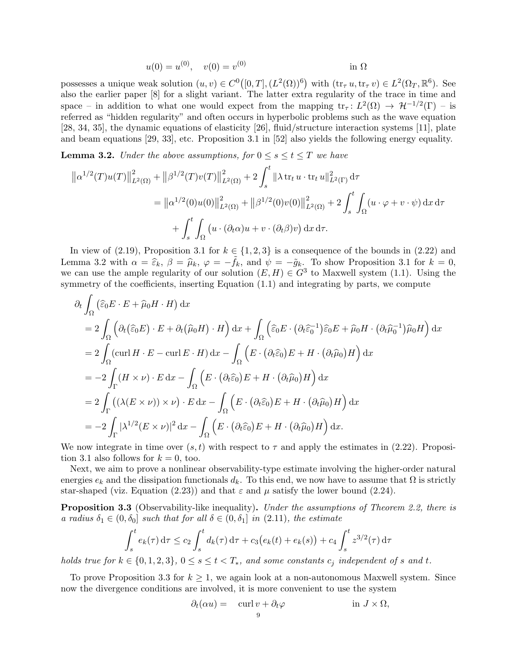$$
u(0) = u^{(0)}, \quad v(0) = v^{(0)} \qquad \text{in } \Omega
$$

possesses a unique weak solution  $(u, v) \in C^0([0, T], (L^2(\Omega))^6)$  with  $(\text{tr}_{\tau} u, \text{tr}_{\tau} v) \in L^2(\Omega_T, \mathbb{R}^6)$ . See also the earlier paper [8] for a slight variant. The latter extra regularity of the trace in time and space – in addition to what one would expect from the mapping  $tr_\tau: L^2(\Omega) \to \mathcal{H}^{-1/2}(\Gamma)$  – is referred as "hidden regularity" and often occurs in hyperbolic problems such as the wave equation [28, 34, 35], the dynamic equations of elasticity [26], fluid/structure interaction systems [11], plate and beam equations [29, 33], etc. Proposition 3.1 in [52] also yields the following energy equality.

**Lemma 3.2.** Under the above assumptions, for  $0 \le s \le t \le T$  we have

$$
\| \alpha^{1/2}(T)u(T) \|_{L^2(\Omega)}^2 + \| \beta^{1/2}(T)v(T) \|_{L^2(\Omega)}^2 + 2 \int_s^t \| \lambda \operatorname{tr}_t u \cdot \operatorname{tr}_t u \|_{L^2(\Gamma)}^2 d\tau \n= \| \alpha^{1/2}(0)u(0) \|_{L^2(\Omega)}^2 + \| \beta^{1/2}(0)v(0) \|_{L^2(\Omega)}^2 + 2 \int_s^t \int_{\Omega} (u \cdot \varphi + v \cdot \psi) dx d\tau \n+ \int_s^t \int_{\Omega} (u \cdot (\partial_t \alpha)u + v \cdot (\partial_t \beta)v) dx d\tau.
$$

In view of (2.19), Proposition 3.1 for  $k \in \{1, 2, 3\}$  is a consequence of the bounds in (2.22) and Lemma 3.2 with  $\alpha = \hat{\varepsilon}_k$ ,  $\beta = \hat{\mu}_k$ ,  $\varphi = -\tilde{f}_k$ , and  $\psi = -\tilde{g}_k$ . To show Proposition 3.1 for  $k = 0$ , we can use the ample regularity of our solution  $(E, H) \in G^3$  to Maxwell system (1.1). Using the symmetry of the coefficients, inserting Equation (1.1) and integrating by parts, we compute

$$
\partial_t \int_{\Omega} \left( \widehat{\varepsilon}_0 E \cdot E + \widehat{\mu}_0 H \cdot H \right) dx
$$
  
\n
$$
= 2 \int_{\Omega} \left( \partial_t \left( \widehat{\varepsilon}_0 E \right) \cdot E + \partial_t \left( \widehat{\mu}_0 H \right) \cdot H \right) dx + \int_{\Omega} \left( \widehat{\varepsilon}_0 E \cdot \left( \partial_t \widehat{\varepsilon}_0^{-1} \right) \widehat{\varepsilon}_0 E + \widehat{\mu}_0 H \cdot \left( \partial_t \widehat{\mu}_0^{-1} \right) \widehat{\mu}_0 H \right) dx
$$
  
\n
$$
= 2 \int_{\Omega} (\text{curl } H \cdot E - \text{curl } E \cdot H) dx - \int_{\Omega} \left( E \cdot \left( \partial_t \widehat{\varepsilon}_0 \right) E + H \cdot \left( \partial_t \widehat{\mu}_0 \right) H \right) dx
$$
  
\n
$$
= -2 \int_{\Gamma} (H \times \nu) \cdot E dx - \int_{\Omega} \left( E \cdot \left( \partial_t \widehat{\varepsilon}_0 \right) E + H \cdot \left( \partial_t \widehat{\mu}_0 \right) H \right) dx
$$
  
\n
$$
= 2 \int_{\Gamma} \left( \left( \lambda (E \times \nu) \right) \times \nu \right) \cdot E dx - \int_{\Omega} \left( E \cdot \left( \partial_t \widehat{\varepsilon}_0 \right) E + H \cdot \left( \partial_t \widehat{\mu}_0 \right) H \right) dx
$$
  
\n
$$
= -2 \int_{\Gamma} |\lambda^{1/2} (E \times \nu)|^2 dx - \int_{\Omega} \left( E \cdot \left( \partial_t \widehat{\varepsilon}_0 \right) E + H \cdot \left( \partial_t \widehat{\mu}_0 \right) H \right) dx.
$$

We now integrate in time over  $(s, t)$  with respect to  $\tau$  and apply the estimates in (2.22). Proposition 3.1 also follows for  $k = 0$ , too.

Next, we aim to prove a nonlinear observability-type estimate involving the higher-order natural energies  $e_k$  and the dissipation functionals  $d_k$ . To this end, we now have to assume that  $\Omega$  is strictly star-shaped (viz. Equation (2.23)) and that  $\varepsilon$  and  $\mu$  satisfy the lower bound (2.24).

**Proposition 3.3** (Observability-like inequality). Under the assumptions of Theorem 2.2, there is a radius  $\delta_1 \in (0, \delta_0]$  such that for all  $\delta \in (0, \delta_1]$  in  $(2.11)$ , the estimate

$$
\int_{s}^{t} e_k(\tau) d\tau \leq c_2 \int_{s}^{t} d_k(\tau) d\tau + c_3(e_k(t) + e_k(s)) + c_4 \int_{s}^{t} z^{3/2}(\tau) d\tau
$$

holds true for  $k \in \{0, 1, 2, 3\}$ ,  $0 \le s \le t < T_*$ , and some constants  $c_j$  independent of s and t.

To prove Proposition 3.3 for  $k \geq 1$ , we again look at a non-autonomous Maxwell system. Since now the divergence conditions are involved, it is more convenient to use the system

$$
\partial_t(\alpha u) = \operatorname{curl} v + \partial_t \varphi \qquad \text{in } J \times \Omega,
$$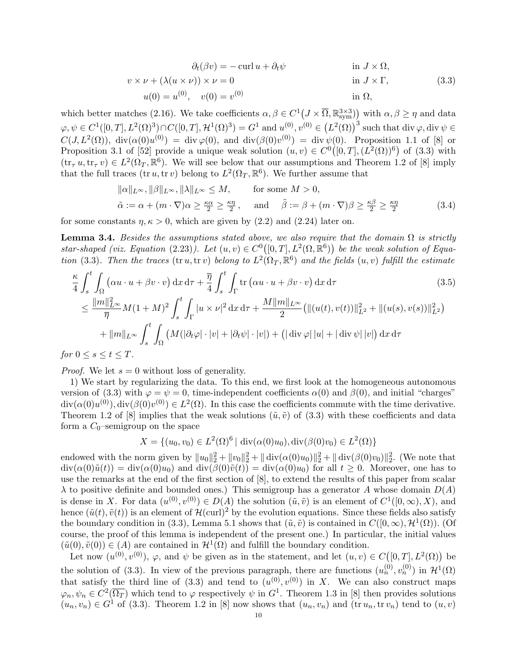$$
\partial_t(\beta v) = -\operatorname{curl} u + \partial_t \psi \qquad \text{in } J \times \Omega,
$$
  
\n
$$
v \times \nu + (\lambda (u \times \nu)) \times \nu = 0 \qquad \text{in } J \times \Gamma,
$$
  
\n
$$
u(0) = u^{(0)}, \quad v(0) = v^{(0)} \qquad \text{in } \Omega,
$$
\n(3.3)

which better matches (2.16). We take coefficients  $\alpha, \beta \in C^1(J \times \overline{\Omega}, \mathbb{R}^{3 \times 3}_{sym})$  with  $\alpha, \beta \geq \eta$  and data  $\varphi, \psi \in C^1([0,T], L^2(\Omega)^3) \cap C([0,T], \mathcal{H}^1(\Omega)^3) = G^1$  and  $u^{(0)}, v^{(0)} \in (L^2(\Omega))^3$  such that div  $\varphi$ , div  $\psi \in C^1(\Omega)$  $C(J, L^2(\Omega))$ , div $(\alpha(0)u^{(0)}) = \text{div}\,\varphi(0)$ , and  $\text{div}(\beta(0)v^{(0)}) = \text{div}\,\psi(0)$ . Proposition 1.1 of [8] or Proposition 3.1 of [52] provide a unique weak solution  $(u, v) \in C^0([0, T], (L^2(\Omega))^6)$  of (3.3) with  $(tr_{\tau} u, tr_{\tau} v) \in L^2(\Omega_T, \mathbb{R}^6)$ . We will see below that our assumptions and Theorem 1.2 of [8] imply that the full traces  $(\text{tr } u, \text{tr } v)$  belong to  $L^2(\Omega_T, \mathbb{R}^6)$ . We further assume that

$$
\|\alpha\|_{L^{\infty}}, \|\beta\|_{L^{\infty}}, \|\lambda\|_{L^{\infty}} \le M, \quad \text{for some } M > 0,
$$
  

$$
\tilde{\alpha} := \alpha + (m \cdot \nabla)\alpha \ge \frac{\kappa \alpha}{2} \ge \frac{\kappa \eta}{2}, \quad \text{and} \quad \tilde{\beta} := \beta + (m \cdot \nabla)\beta \ge \frac{\kappa \beta}{2} \ge \frac{\kappa \eta}{2}
$$
 (3.4)

for some constants  $\eta, \kappa > 0$ , which are given by (2.2) and (2.24) later on.

**Lemma 3.4.** Besides the assumptions stated above, we also require that the domain  $\Omega$  is strictly star-shaped (viz. Equation (2.23)). Let  $(u, v) \in C^0([0, T], L^2(\Omega, \mathbb{R}^6))$  be the weak solution of Equation (3.3). Then the traces (tr u, tr v) belong to  $L^2(\Omega_T,\mathbb{R}^6)$  and the fields  $(u, v)$  fulfill the estimate

$$
\frac{\kappa}{4} \int_{s}^{t} \int_{\Omega} \left( \alpha u \cdot u + \beta v \cdot v \right) dx \, d\tau + \frac{\overline{\eta}}{4} \int_{s}^{t} \int_{\Gamma} \text{tr} \left( \alpha u \cdot u + \beta v \cdot v \right) dx \, d\tau \tag{3.5}
$$
\n
$$
\leq \frac{\|m\|_{L^{\infty}}^{2}}{\overline{\eta}} M (1+M)^{2} \int_{s}^{t} \int_{\Gamma} |u \times \nu|^{2} dx \, d\tau + \frac{M \|m\|_{L^{\infty}}}{2} \left( \| (u(t), v(t)) \|_{L^{2}}^{2} + \| (u(s), v(s)) \|_{L^{2}}^{2} \right)
$$
\n
$$
+ \|m\|_{L^{\infty}} \int_{s}^{t} \int_{\Omega} \left( M (|\partial_{t} \varphi| \cdot |v| + |\partial_{t} \psi| \cdot |v|) + \left( |\text{div } \varphi| \, |u| + |\text{div } \psi| \, |v| \right) \right) dx \, d\tau
$$
\n
$$
\therefore 0 \leq s \leq t \leq T
$$

for  $0 \leq s \leq t \leq T$ .

*Proof.* We let  $s = 0$  without loss of generality.

1) We start by regularizing the data. To this end, we first look at the homogeneous autonomous version of (3.3) with  $\varphi = \psi = 0$ , time-independent coefficients  $\alpha(0)$  and  $\beta(0)$ , and initial "charges"  $\mathrm{div}(\alpha(0)u^{(0)}), \mathrm{div}(\beta(0)v^{(0)}) \in L^2(\Omega)$ . In this case the coefficients commute with the time derivative. Theorem 1.2 of [8] implies that the weak solutions  $(\tilde{u}, \tilde{v})$  of (3.3) with these coefficients and data form a  $C_0$ -semigroup on the space

$$
X = \{ (u_0, v_0) \in L^2(\Omega)^6 \mid \text{div}(\alpha(0)u_0), \text{div}(\beta(0)v_0) \in L^2(\Omega) \}
$$

endowed with the norm given by  $||u_0||_2^2 + ||v_0||_2^2 + ||\operatorname{div}(\alpha(0)u_0)||_2^2 + ||\operatorname{div}(\beta(0)v_0)||_2^2$ . (We note that  $div(\alpha(0)\tilde{u}(t)) = div(\alpha(0)u_0)$  and  $div(\beta(0)\tilde{v}(t)) = div(\alpha(0)u_0)$  for all  $t \geq 0$ . Moreover, one has to use the remarks at the end of the first section of [8], to extend the results of this paper from scalar  $\lambda$  to positive definite and bounded ones.) This semigroup has a generator A whose domain  $D(A)$ is dense in X. For data  $(u^{(0)}, v^{(0)}) \in D(A)$  the solution  $(\tilde{u}, \tilde{v})$  is an element of  $C^1([0,\infty), X)$ , and hence  $(\tilde{u}(t), \tilde{v}(t))$  is an element of  $\mathcal{H}(\text{curl})^2$  by the evolution equations. Since these fields also satisfy the boundary condition in (3.3), Lemma 5.1 shows that  $(\tilde{u}, \tilde{v})$  is contained in  $C([0, \infty), \mathcal{H}^1(\Omega))$ . (Of course, the proof of this lemma is independent of the present one.) In particular, the initial values  $(\tilde{u}(0), \tilde{v}(0)) \in (A)$  are contained in  $\mathcal{H}^1(\Omega)$  and fulfill the boundary condition.

Let now  $(u^{(0)}, v^{(0)}), \varphi$ , and  $\psi$  be given as in the statement, and let  $(u, v) \in C([0, T], L^2(\Omega))$  be the solution of (3.3). In view of the previous paragraph, there are functions  $(u_n^{(0)}, v_n^{(0)})$  in  $\mathcal{H}^1(\Omega)$ that satisfy the third line of (3.3) and tend to  $(u^{(0)}, v^{(0)})$  in X. We can also construct maps  $\varphi_n, \psi_n \in C^2(\overline{\Omega_T})$  which tend to  $\varphi$  respectively  $\psi$  in  $G^1$ . Theorem 1.3 in [8] then provides solutions  $(u_n, v_n) \in G^1$  of (3.3). Theorem 1.2 in [8] now shows that  $(u_n, v_n)$  and  $(\text{tr } u_n, \text{tr } v_n)$  tend to  $(u, v)$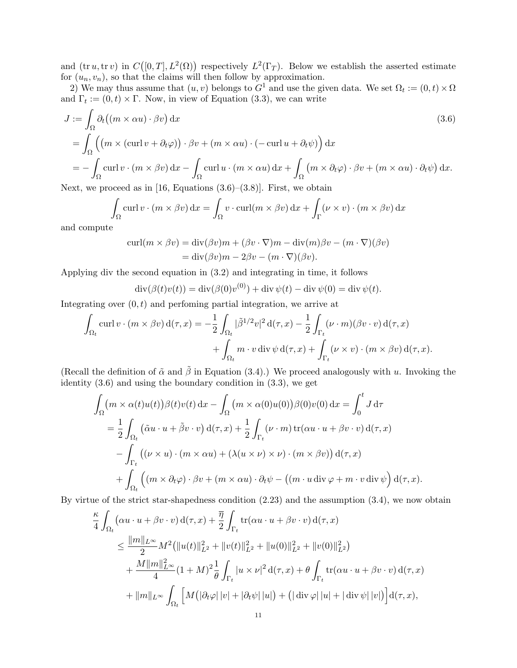and  $(tr u, tr v)$  in  $C([0,T], L^2(\Omega))$  respectively  $L^2(\Gamma_T)$ . Below we establish the asserted estimate for  $(u_n, v_n)$ , so that the claims will then follow by approximation.

2) We may thus assume that  $(u, v)$  belongs to  $G^1$  and use the given data. We set  $\Omega_t := (0, t) \times \Omega$ and  $\Gamma_t := (0, t) \times \Gamma$ . Now, in view of Equation (3.3), we can write

$$
J := \int_{\Omega} \partial_t ((m \times \alpha u) \cdot \beta v) dx
$$
  
= 
$$
\int_{\Omega} ((m \times (\text{curl } v + \partial_t \varphi)) \cdot \beta v + (m \times \alpha u) \cdot (-\text{curl } u + \partial_t \psi)) dx
$$
  
= 
$$
- \int_{\Omega} (\text{curl } v \cdot (m \times \beta v) dx - \int_{\Omega} \text{curl } u \cdot (m \times \alpha u) dx + \int_{\Omega} (m \times \partial_t \varphi) \cdot \beta v + (m \times \alpha u) \cdot \partial_t \psi) dx.
$$
  
(3.6)

Next, we proceed as in [16, Equations  $(3.6)$ – $(3.8)$ ]. First, we obtain

$$
\int_{\Omega} \operatorname{curl} v \cdot (m \times \beta v) \,dx = \int_{\Omega} v \cdot \operatorname{curl}(m \times \beta v) \,dx + \int_{\Gamma} (\nu \times v) \cdot (m \times \beta v) \,dx
$$

and compute

$$
\text{curl}(m \times \beta v) = \text{div}(\beta v)m + (\beta v \cdot \nabla)m - \text{div}(m)\beta v - (m \cdot \nabla)(\beta v)
$$

$$
= \text{div}(\beta v)m - 2\beta v - (m \cdot \nabla)(\beta v).
$$

Applying div the second equation in (3.2) and integrating in time, it follows

$$
\operatorname{div}(\beta(t)v(t)) = \operatorname{div}(\beta(0)v^{(0)}) + \operatorname{div}\psi(t) - \operatorname{div}\psi(0) = \operatorname{div}\psi(t).
$$

Integrating over  $(0, t)$  and perfoming partial integration, we arrive at

$$
\int_{\Omega_t} \operatorname{curl} v \cdot (m \times \beta v) d(\tau, x) = -\frac{1}{2} \int_{\Omega_t} |\tilde{\beta}^{1/2} v|^2 d(\tau, x) - \frac{1}{2} \int_{\Gamma_t} (\nu \cdot m)(\beta v \cdot v) d(\tau, x) \n+ \int_{\Omega_t} m \cdot v \operatorname{div} \psi d(\tau, x) + \int_{\Gamma_t} (\nu \times v) \cdot (m \times \beta v) d(\tau, x).
$$

(Recall the definition of  $\tilde{\alpha}$  and  $\tilde{\beta}$  in Equation (3.4).) We proceed analogously with u. Invoking the identity (3.6) and using the boundary condition in (3.3), we get

$$
\int_{\Omega} \left( m \times \alpha(t) u(t) \right) \beta(t) v(t) \, \mathrm{d}x - \int_{\Omega} \left( m \times \alpha(0) u(0) \right) \beta(0) v(0) \, \mathrm{d}x = \int_{0}^{t} J \, \mathrm{d}\tau
$$
\n
$$
= \frac{1}{2} \int_{\Omega_{t}} \left( \tilde{\alpha} u \cdot u + \tilde{\beta} v \cdot v \right) \mathrm{d}(\tau, x) + \frac{1}{2} \int_{\Gamma_{t}} \left( \nu \cdot m \right) \mathrm{tr}(\alpha u \cdot u + \beta v \cdot v) \, \mathrm{d}(\tau, x)
$$
\n
$$
- \int_{\Gamma_{t}} \left( (\nu \times u) \cdot (m \times \alpha u) + (\lambda(u \times \nu) \times \nu) \cdot (m \times \beta v) \right) \mathrm{d}(\tau, x)
$$
\n
$$
+ \int_{\Omega_{t}} \left( \left( m \times \partial_{t} \varphi \right) \cdot \beta v + \left( m \times \alpha u \right) \cdot \partial_{t} \psi - \left( \left( m \cdot u \, \mathrm{div} \varphi + m \cdot v \, \mathrm{div} \psi \right) \mathrm{d}(\tau, x \right).
$$

By virtue of the strict star-shapedness condition (2.23) and the assumption (3.4), we now obtain

$$
\frac{\kappa}{4} \int_{\Omega_t} (\alpha u \cdot u + \beta v \cdot v) d(\tau, x) + \frac{\overline{\eta}}{2} \int_{\Gamma_t} tr(\alpha u \cdot u + \beta v \cdot v) d(\tau, x) \n\leq \frac{\|m\|_{L^{\infty}}}{2} M^2 (\|u(t)\|_{L^2}^2 + \|v(t)\|_{L^2}^2 + \|u(0)\|_{L^2}^2 + \|v(0)\|_{L^2}^2) \n+ \frac{M \|m\|_{L^{\infty}}^2}{4} (1 + M)^2 \frac{1}{\theta} \int_{\Gamma_t} |u \times \nu|^2 d(\tau, x) + \theta \int_{\Gamma_t} tr(\alpha u \cdot u + \beta v \cdot v) d(\tau, x) \n+ \|m\|_{L^{\infty}} \int_{\Omega_t} \left[ M (|\partial_t \varphi| |v| + |\partial_t \psi| |u|) + (|\operatorname{div} \varphi| |u| + |\operatorname{div} \psi| |v|) \right] d(\tau, x),
$$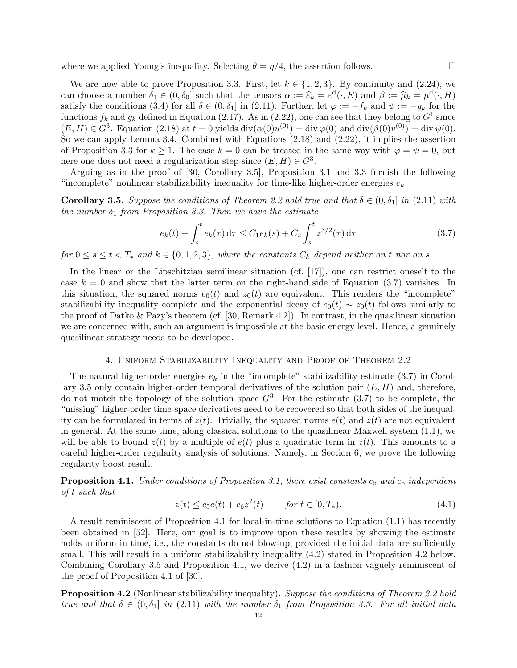where we applied Young's inequality. Selecting  $\theta = \overline{\eta}/4$ , the assertion follows.

We are now able to prove Proposition 3.3. First, let  $k \in \{1, 2, 3\}$ . By continuity and  $(2.24)$ , we can choose a number  $\delta_1 \in (0, \delta_0]$  such that the tensors  $\alpha := \widehat{\varepsilon}_k = \varepsilon^{\rm d}(\cdot, E)$  and  $\beta := \widehat{\mu}_k = \mu^{\rm d}(\cdot, H)$ satisfy the conditions (3.4) for all  $\delta \in (0, \delta_1]$  in (2.11). Further, let  $\varphi := -f_k$  and  $\psi := -g_k$  for the functions  $f_k$  and  $g_k$  defined in Equation (2.17). As in (2.22), one can see that they belong to  $G^1$  since  $(E, H) \in G^3$ . Equation (2.18) at  $t = 0$  yields  $\text{div}(\alpha(0)u^{(0)}) = \text{div}\,\varphi(0)$  and  $\text{div}(\beta(0)v^{(0)}) = \text{div}\,\psi(0)$ . So we can apply Lemma 3.4. Combined with Equations (2.18) and (2.22), it implies the assertion of Proposition 3.3 for  $k \ge 1$ . The case  $k = 0$  can be treated in the same way with  $\varphi = \psi = 0$ , but here one does not need a regularization step since  $(E, H) \in G^3$ .

Arguing as in the proof of [30, Corollary 3.5], Proposition 3.1 and 3.3 furnish the following "incomplete" nonlinear stabilizability inequality for time-like higher-order energies  $e_k$ .

**Corollary 3.5.** Suppose the conditions of Theorem 2.2 hold true and that  $\delta \in (0, \delta_1]$  in (2.11) with the number  $\delta_1$  from Proposition 3.3. Then we have the estimate

$$
e_k(t) + \int_s^t e_k(\tau) d\tau \le C_1 e_k(s) + C_2 \int_s^t z^{3/2}(\tau) d\tau
$$
\n(3.7)

for  $0 \le s \le t < T_*$  and  $k \in \{0, 1, 2, 3\}$ , where the constants  $C_k$  depend neither on t nor on s.

In the linear or the Lipschitzian semilinear situation (cf. [17]), one can restrict oneself to the case  $k = 0$  and show that the latter term on the right-hand side of Equation (3.7) vanishes. In this situation, the squared norms  $e_0(t)$  and  $z_0(t)$  are equivalent. This renders the "incomplete" stabilizability inequality complete and the exponential decay of  $e_0(t) \sim z_0(t)$  follows similarly to the proof of Datko & Pazy's theorem (cf. [30, Remark 4.2]). In contrast, in the quasilinear situation we are concerned with, such an argument is impossible at the basic energy level. Hence, a genuinely quasilinear strategy needs to be developed.

#### 4. Uniform Stabilizability Inequality and Proof of Theorem 2.2

The natural higher-order energies  $e_k$  in the "incomplete" stabilizability estimate (3.7) in Corollary 3.5 only contain higher-order temporal derivatives of the solution pair  $(E, H)$  and, therefore, do not match the topology of the solution space  $G^3$ . For the estimate (3.7) to be complete, the "missing" higher-order time-space derivatives need to be recovered so that both sides of the inequality can be formulated in terms of  $z(t)$ . Trivially, the squared norms  $e(t)$  and  $z(t)$  are not equivalent in general. At the same time, along classical solutions to the quasilinear Maxwell system (1.1), we will be able to bound  $z(t)$  by a multiple of  $e(t)$  plus a quadratic term in  $z(t)$ . This amounts to a careful higher-order regularity analysis of solutions. Namely, in Section 6, we prove the following regularity boost result.

**Proposition 4.1.** Under conditions of Proposition 3.1, there exist constants  $c_5$  and  $c_6$  independent of t such that

$$
z(t) \le c_5 e(t) + c_6 z^2(t) \qquad \text{for } t \in [0, T_*). \tag{4.1}
$$

A result reminiscent of Proposition 4.1 for local-in-time solutions to Equation (1.1) has recently been obtained in [52]. Here, our goal is to improve upon these results by showing the estimate holds uniform in time, i.e., the constants do not blow-up, provided the initial data are sufficiently small. This will result in a uniform stabilizability inequality  $(4.2)$  stated in Proposition 4.2 below. Combining Corollary 3.5 and Proposition 4.1, we derive (4.2) in a fashion vaguely reminiscent of the proof of Proposition 4.1 of [30].

**Proposition 4.2** (Nonlinear stabilizability inequality). Suppose the conditions of Theorem 2.2 hold true and that  $\delta \in (0, \delta_1]$  in (2.11) with the number  $\delta_1$  from Proposition 3.3. For all initial data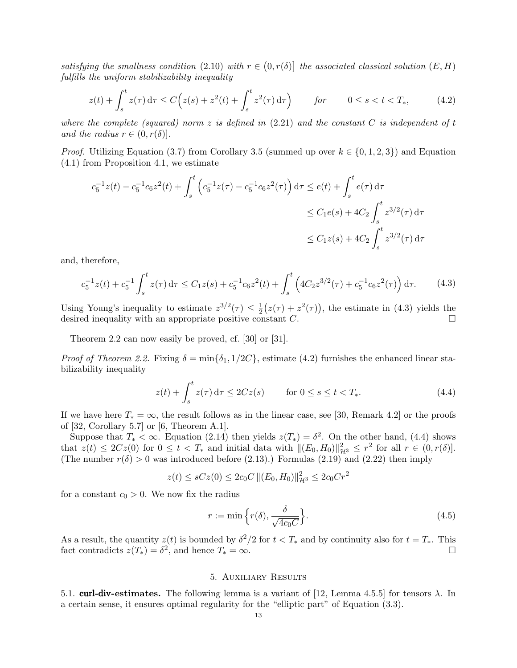satisfying the smallness condition (2.10) with  $r \in (0, r(\delta))$  the associated classical solution  $(E, H)$ fulfills the uniform stabilizability inequality

$$
z(t) + \int_s^t z(\tau) d\tau \le C\Big(z(s) + z^2(t) + \int_s^t z^2(\tau) d\tau\Big) \qquad \text{for} \qquad 0 \le s < t < T_*, \tag{4.2}
$$

where the complete (squared) norm z is defined in  $(2.21)$  and the constant C is independent of t and the radius  $r \in (0, r(\delta))$ .

*Proof.* Utilizing Equation (3.7) from Corollary 3.5 (summed up over  $k \in \{0, 1, 2, 3\}$ ) and Equation (4.1) from Proposition 4.1, we estimate

$$
c_5^{-1}z(t) - c_5^{-1}c_6z^2(t) + \int_s^t \left(c_5^{-1}z(\tau) - c_5^{-1}c_6z^2(\tau)\right) d\tau \le e(t) + \int_s^t e(\tau) d\tau
$$
  

$$
\le C_1e(s) + 4C_2 \int_s^t z^{3/2}(\tau) d\tau
$$
  

$$
\le C_1z(s) + 4C_2 \int_s^t z^{3/2}(\tau) d\tau
$$

and, therefore,

$$
c_5^{-1}z(t) + c_5^{-1} \int_s^t z(\tau) d\tau \le C_1 z(s) + c_5^{-1} c_6 z^2(t) + \int_s^t \left(4C_2 z^{3/2}(\tau) + c_5^{-1} c_6 z^2(\tau)\right) d\tau.
$$
 (4.3)

Using Young's inequality to estimate  $z^{3/2}(\tau) \leq \frac{1}{2}$  $\frac{1}{2}(z(\tau) + z^2(\tau))$ , the estimate in (4.3) yields the desired inequality with an appropriate positive constant  $C$ .

Theorem 2.2 can now easily be proved, cf. [30] or [31].

*Proof of Theorem 2.2.* Fixing  $\delta = \min{\delta_1, 1/2C}$ , estimate (4.2) furnishes the enhanced linear stabilizability inequality

$$
z(t) + \int_{s}^{t} z(\tau) d\tau \le 2Cz(s) \qquad \text{for } 0 \le s \le t < T_*. \tag{4.4}
$$

If we have here  $T_* = \infty$ , the result follows as in the linear case, see [30, Remark 4.2] or the proofs of [32, Corollary 5.7] or [6, Theorem A.1].

Suppose that  $T_* < \infty$ . Equation (2.14) then yields  $z(T_*) = \delta^2$ . On the other hand, (4.4) shows that  $z(t) \leq 2Cz(0)$  for  $0 \leq t < T_*$  and initial data with  $||(E_0, H_0)||_{\mathcal{H}^3}^2 \leq r^2$  for all  $r \in (0, r(\delta))$ . (The number  $r(\delta) > 0$  was introduced before (2.13).) Formulas (2.19) and (2.22) then imply

$$
z(t) \le sCz(0) \le 2c_0C ||(E_0, H_0)||_{\mathcal{H}^3}^2 \le 2c_0Cr^2
$$

for a constant  $c_0 > 0$ . We now fix the radius

$$
r := \min\left\{r(\delta), \frac{\delta}{\sqrt{4c_0 C}}\right\}.
$$
\n(4.5)

As a result, the quantity  $z(t)$  is bounded by  $\delta^2/2$  for  $t < T_*$  and by continuity also for  $t = T_*$ . This fact contradicts  $z(T_*) = \delta^2$ , and hence  $T_* = \infty$ .

## 5. Auxiliary Results

5.1. curl-div-estimates. The following lemma is a variant of [12, Lemma 4.5.5] for tensors  $\lambda$ . In a certain sense, it ensures optimal regularity for the "elliptic part" of Equation (3.3).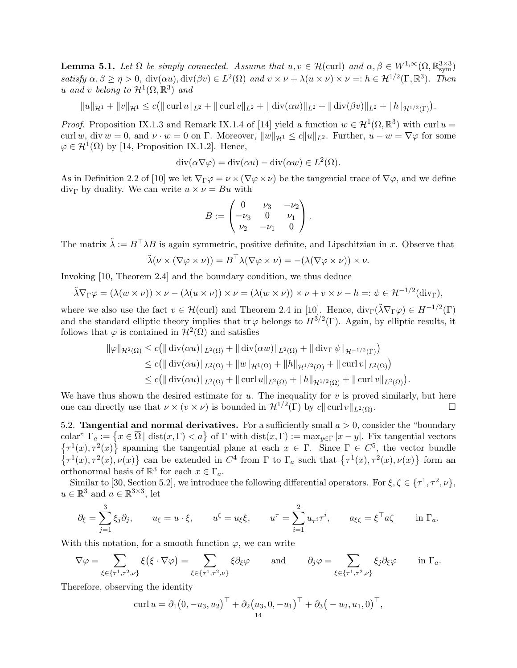**Lemma 5.1.** Let  $\Omega$  be simply connected. Assume that  $u, v \in \mathcal{H}(\text{curl})$  and  $\alpha, \beta \in W^{1,\infty}(\Omega, \mathbb{R}^{3\times 3}_{\text{sym}})$ satisfy  $\alpha, \beta \ge \eta > 0$ ,  $\text{div}(\alpha u)$ ,  $\text{div}(\beta v) \in L^2(\Omega)$  and  $v \times \nu + \lambda (u \times \nu) \times \nu =: h \in \mathcal{H}^{1/2}(\Gamma, \mathbb{R}^3)$ . Then u and v belong to  $\mathcal{H}^1(\Omega,\mathbb{R}^3)$  and

 $||u||_{\mathcal{H}^{1}} + ||v||_{\mathcal{H}^{1}} \leq c (|| \operatorname{curl} u||_{L^{2}} + || \operatorname{curl} v||_{L^{2}} + || \operatorname{div}(\alpha u)||_{L^{2}} + || \operatorname{div}(\beta v)||_{L^{2}} + ||h||_{\mathcal{H}^{1/2}(\Gamma)}).$ 

*Proof.* Proposition IX.1.3 and Remark IX.1.4 of [14] yield a function  $w \in H^1(\Omega, \mathbb{R}^3)$  with curl  $u =$ curl w, div w = 0, and  $\nu \cdot w = 0$  on  $\Gamma$ . Moreover,  $||w||_{\mathcal{H}^1} \le c||u||_{L^2}$ . Further,  $u - w = \nabla \varphi$  for some  $\varphi \in \mathcal{H}^1(\Omega)$  by [14, Proposition IX.1.2]. Hence,

$$
\operatorname{div}(\alpha \nabla \varphi) = \operatorname{div}(\alpha u) - \operatorname{div}(\alpha w) \in L^2(\Omega).
$$

As in Definition 2.2 of [10] we let  $\nabla_{\Gamma} \varphi = \nu \times (\nabla \varphi \times \nu)$  be the tangential trace of  $\nabla \varphi$ , and we define  $div_{\Gamma}$  by duality. We can write  $u \times \nu = Bu$  with

$$
B := \begin{pmatrix} 0 & \nu_3 & -\nu_2 \\ -\nu_3 & 0 & \nu_1 \\ \nu_2 & -\nu_1 & 0 \end{pmatrix}.
$$

The matrix  $\tilde{\lambda} := B^{\top} \lambda B$  is again symmetric, positive definite, and Lipschitzian in x. Observe that

$$
\tilde{\lambda}(\nu \times (\nabla \varphi \times \nu)) = B^{\top} \lambda (\nabla \varphi \times \nu) = -(\lambda (\nabla \varphi \times \nu)) \times \nu.
$$

Invoking [10, Theorem 2.4] and the boundary condition, we thus deduce

$$
\tilde{\lambda}\nabla_{\Gamma}\varphi = (\lambda(w\times\nu))\times\nu - (\lambda(u\times\nu))\times\nu = (\lambda(w\times\nu))\times\nu + v\times\nu - h =: \psi \in \mathcal{H}^{-1/2}(\text{div}_{\Gamma}),
$$

where we also use the fact  $v \in \mathcal{H}(\text{curl})$  and Theorem 2.4 in [10]. Hence,  $\text{div}_{\Gamma}(\tilde{\lambda} \nabla_{\Gamma} \varphi) \in H^{-1/2}(\Gamma)$ and the standard elliptic theory implies that tr  $\varphi$  belongs to  $H^{3/2}(\Gamma)$ . Again, by elliptic results, it follows that  $\varphi$  is contained in  $\mathcal{H}^2(\Omega)$  and satisfies

$$
\|\varphi\|_{\mathcal{H}^2(\Omega)} \le c \big( \|\operatorname{div}(\alpha u)\|_{L^2(\Omega)} + \|\operatorname{div}(\alpha w)\|_{L^2(\Omega)} + \|\operatorname{div}_{\Gamma} \psi\|_{\mathcal{H}^{-1/2}(\Gamma)} \big) \le c \big( \|\operatorname{div}(\alpha u)\|_{L^2(\Omega)} + \|w\|_{\mathcal{H}^1(\Omega)} + \|h\|_{\mathcal{H}^{1/2}(\Omega)} + \|\operatorname{curl} v\|_{L^2(\Omega)} \big) \le c \big( \|\operatorname{div}(\alpha u)\|_{L^2(\Omega)} + \|\operatorname{curl} u\|_{L^2(\Omega)} + \|h\|_{\mathcal{H}^{1/2}(\Omega)} + \|\operatorname{curl} v\|_{L^2(\Omega)} \big).
$$

We have thus shown the desired estimate for  $u$ . The inequality for  $v$  is proved similarly, but here one can directly use that  $\nu \times (v \times \nu)$  is bounded in  $\mathcal{H}^{1/2}(\Gamma)$  by  $c|| \operatorname{curl} v||_{L^2(\Omega)}$ .

5.2. **Tangential and normal derivatives.** For a sufficiently small  $a > 0$ , consider the "boundary" colar"  $\Gamma_a := \{x \in \overline{\Omega} \mid \text{dist}(x, \Gamma) < a\}$  of  $\Gamma$  with  $\text{dist}(x, \Gamma) := \max_{y \in \Gamma} |x - y|$ . Fix tangential vectors  $\{\tau^1(x), \tau^2(x)\}\$  spanning the tangential plane at each  $x \in \Gamma$ . Since  $\Gamma \in C^5$ , the vector bundle  $\{\tau^1(x), \tau^2(x), \nu(x)\}\$ can be extended in  $C^4$  from  $\Gamma$  to  $\Gamma_a$  such that  $\{\tau^1(x), \tau^2(x), \nu(x)\}\$  form an orthonormal basis of  $\mathbb{R}^3$  for each  $x \in \Gamma_a$ .

Similar to [30, Section 5.2], we introduce the following differential operators. For  $\xi, \zeta \in {\{\tau^1, \tau^2, \nu\}}$ ,  $u \in \mathbb{R}^3$  and  $a \in \mathbb{R}^{3 \times 3}$ , let

$$
\partial_{\xi} = \sum_{j=1}^{3} \xi_j \partial_j, \qquad u_{\xi} = u \cdot \xi, \qquad u^{\xi} = u_{\xi} \xi, \qquad u^{\tau} = \sum_{i=1}^{2} u_{\tau^i} \tau^i, \qquad a_{\xi \zeta} = \xi^{\top} a \zeta \qquad \text{in } \Gamma_a.
$$

With this notation, for a smooth function  $\varphi$ , we can write

$$
\nabla \varphi = \sum_{\xi \in \{\tau^1, \tau^2, \nu\}} \xi(\xi \cdot \nabla \varphi) = \sum_{\xi \in \{\tau^1, \tau^2, \nu\}} \xi \partial_{\xi} \varphi \quad \text{and} \quad \partial_j \varphi = \sum_{\xi \in \{\tau^1, \tau^2, \nu\}} \xi_j \partial_{\xi} \varphi \quad \text{in } \Gamma_a.
$$

Therefore, observing the identity

curl 
$$
u = \partial_1 (0, -u_3, u_2)^\top + \partial_2 (u_3, 0, -u_1)^\top + \partial_3 (-u_2, u_1, 0)^\top
$$
,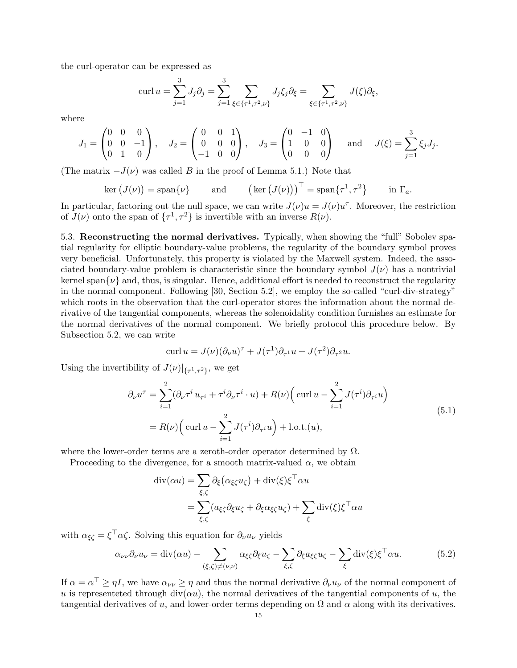the curl-operator can be expressed as

$$
\operatorname{curl} u = \sum_{j=1}^{3} J_j \partial_j = \sum_{j=1}^{3} \sum_{\xi \in \{\tau^1, \tau^2, \nu\}} J_j \xi_j \partial_\xi = \sum_{\xi \in \{\tau^1, \tau^2, \nu\}} J(\xi) \partial_\xi,
$$

where

$$
J_1 = \begin{pmatrix} 0 & 0 & 0 \\ 0 & 0 & -1 \\ 0 & 1 & 0 \end{pmatrix}, \quad J_2 = \begin{pmatrix} 0 & 0 & 1 \\ 0 & 0 & 0 \\ -1 & 0 & 0 \end{pmatrix}, \quad J_3 = \begin{pmatrix} 0 & -1 & 0 \\ 1 & 0 & 0 \\ 0 & 0 & 0 \end{pmatrix} \quad \text{and} \quad J(\xi) = \sum_{j=1}^3 \xi_j J_j.
$$

(The matrix  $-J(\nu)$  was called B in the proof of Lemma 5.1.) Note that

$$
\ker (J(\nu)) = \operatorname{span}\{\nu\} \qquad \text{and} \qquad \left(\ker (J(\nu))\right)^{\top} = \operatorname{span}\{\tau^1, \tau^2\} \qquad \text{in } \Gamma_a.
$$

In particular, factoring out the null space, we can write  $J(\nu)u = J(\nu)u^{\tau}$ . Moreover, the restriction of  $J(\nu)$  onto the span of  $\{\tau^1, \tau^2\}$  is invertible with an inverse  $R(\nu)$ .

5.3. Reconstructing the normal derivatives. Typically, when showing the "full" Sobolev spatial regularity for elliptic boundary-value problems, the regularity of the boundary symbol proves very beneficial. Unfortunately, this property is violated by the Maxwell system. Indeed, the associated boundary-value problem is characteristic since the boundary symbol  $J(\nu)$  has a nontrivial kernel span $\{\nu\}$  and, thus, is singular. Hence, additional effort is needed to reconstruct the regularity in the normal component. Following [30, Section 5.2], we employ the so-called "curl-div-strategy" which roots in the observation that the curl-operator stores the information about the normal derivative of the tangential components, whereas the solenoidality condition furnishes an estimate for the normal derivatives of the normal component. We briefly protocol this procedure below. By Subsection 5.2, we can write

$$
\operatorname{curl} u = J(\nu)(\partial_{\nu}u)^{\tau} + J(\tau^{1})\partial_{\tau^{1}}u + J(\tau^{2})\partial_{\tau^{2}}u.
$$

Using the invertibility of  $J(\nu)|_{\{\tau^1,\tau^2\}}$ , we get

$$
\partial_{\nu}u^{\tau} = \sum_{i=1}^{2} (\partial_{\nu}\tau^{i}u_{\tau^{i}} + \tau^{i}\partial_{\nu}\tau^{i} \cdot u) + R(\nu)\Big(\operatorname{curl} u - \sum_{i=1}^{2} J(\tau^{i})\partial_{\tau^{i}}u\Big)
$$
  
=  $R(\nu)\Big(\operatorname{curl} u - \sum_{i=1}^{2} J(\tau^{i})\partial_{\tau^{i}}u\Big) + \text{l.o.t.}(u),$  (5.1)

where the lower-order terms are a zeroth-order operator determined by  $\Omega$ .

Proceeding to the divergence, for a smooth matrix-valued  $\alpha$ , we obtain

$$
\operatorname{div}(\alpha u) = \sum_{\xi,\zeta} \partial_{\xi} (\alpha_{\xi\zeta} u_{\zeta}) + \operatorname{div}(\xi) \xi^{\top} \alpha u
$$
  
= 
$$
\sum_{\xi,\zeta} (a_{\xi\zeta} \partial_{\xi} u_{\zeta} + \partial_{\xi} \alpha_{\xi\zeta} u_{\zeta}) + \sum_{\xi} \operatorname{div}(\xi) \xi^{\top} \alpha u
$$

with  $\alpha_{\xi\zeta} = \xi^{\top} \alpha \zeta$ . Solving this equation for  $\partial_{\nu} u_{\nu}$  yields

$$
\alpha_{\nu\nu}\partial_{\nu}u_{\nu} = \text{div}(\alpha u) - \sum_{(\xi,\zeta)\neq(\nu,\nu)} \alpha_{\xi\zeta}\partial_{\xi}u_{\zeta} - \sum_{\xi,\zeta} \partial_{\xi}a_{\xi\zeta}u_{\zeta} - \sum_{\xi} \text{div}(\xi)\xi^{\top}\alpha u.
$$
(5.2)

If  $\alpha = \alpha^{\top} \geq \eta I$ , we have  $\alpha_{\nu\nu} \geq \eta$  and thus the normal derivative  $\partial_{\nu}u_{\nu}$  of the normal component of u is representeted through div( $\alpha u$ ), the normal derivatives of the tangential components of u, the tangential derivatives of u, and lower-order terms depending on  $\Omega$  and  $\alpha$  along with its derivatives.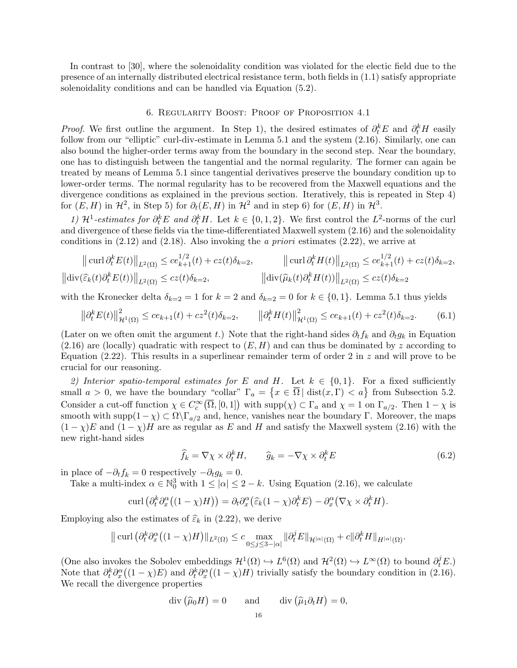In contrast to [30], where the solenoidality condition was violated for the electic field due to the presence of an internally distributed electrical resistance term, both fields in (1.1) satisfy appropriate solenoidality conditions and can be handled via Equation (5.2).

#### 6. Regularity Boost: Proof of Proposition 4.1

*Proof.* We first outline the argument. In Step 1), the desired estimates of  $\partial_t^k E$  and  $\partial_t^k H$  easily follow from our "elliptic" curl-div-estimate in Lemma 5.1 and the system (2.16). Similarly, one can also bound the higher-order terms away from the boundary in the second step. Near the boundary, one has to distinguish between the tangential and the normal regularity. The former can again be treated by means of Lemma 5.1 since tangential derivatives preserve the boundary condition up to lower-order terms. The normal regularity has to be recovered from the Maxwell equations and the divergence conditions as explained in the previous section. Iteratively, this is repeated in Step 4) for  $(E, H)$  in  $\mathcal{H}^2$ , in Step 5) for  $\partial_t(E, H)$  in  $\mathcal{H}^2$  and in step 6) for  $(E, H)$  in  $\mathcal{H}^3$ .

1)  $\mathcal{H}^1$ -estimates for  $\partial_t^k E$  and  $\partial_t^k H$ . Let  $k \in \{0,1,2\}$ . We first control the  $L^2$ -norms of the curl and divergence of these fields via the time-differentiated Maxwell system (2.16) and the solenoidality conditions in  $(2.12)$  and  $(2.18)$ . Also invoking the *a priori* estimates  $(2.22)$ , we arrive at

$$
\|\operatorname{curl} \partial_t^k E(t)\|_{L^2(\Omega)} \le c e_{k+1}^{1/2}(t) + c z(t)\delta_{k=2}, \qquad \|\operatorname{curl} \partial_t^k H(t)\|_{L^2(\Omega)} \le c e_{k+1}^{1/2}(t) + c z(t)\delta_{k=2},
$$
  

$$
\|\operatorname{div}(\widehat{\varepsilon}_k(t)\partial_t^k E(t))\|_{L^2(\Omega)} \le c z(t)\delta_{k=2}, \qquad \|\operatorname{div}(\widehat{\mu}_k(t)\partial_t^k H(t))\|_{L^2(\Omega)} \le c z(t)\delta_{k=2}
$$

with the Kronecker delta  $\delta_{k=2} = 1$  for  $k = 2$  and  $\delta_{k=2} = 0$  for  $k \in \{0, 1\}$ . Lemma 5.1 thus yields

$$
\left\|\partial_t^k E(t)\right\|_{\mathcal{H}^1(\Omega)}^2 \le c e_{k+1}(t) + c z^2(t)\delta_{k=2}, \qquad \left\|\partial_t^k H(t)\right\|_{\mathcal{H}^1(\Omega)}^2 \le c e_{k+1}(t) + c z^2(t)\delta_{k=2}.
$$
 (6.1)

(Later on we often omit the argument t.) Note that the right-hand sides  $\partial_t f_k$  and  $\partial_t g_k$  in Equation  $(2.16)$  are (locally) quadratic with respect to  $(E, H)$  and can thus be dominated by z according to Equation (2.22). This results in a superlinear remainder term of order 2 in  $z$  and will prove to be crucial for our reasoning.

2) Interior spatio-temporal estimates for E and H. Let  $k \in \{0,1\}$ . For a fixed sufficiently small  $a > 0$ , we have the boundary "collar"  $\Gamma_a = \{x \in \overline{\Omega} \mid \text{dist}(x, \Gamma) < a\}$  from Subsection 5.2. Consider a cut-off function  $\chi \in C_c^{\infty}(\overline{\Omega}, [0,1])$  with  $\text{supp}(\chi) \subset \Gamma_a$  and  $\chi = 1$  on  $\Gamma_{a/2}$ . Then  $1 - \chi$  is smooth with supp $(1 - \chi) \subset \Omega \backslash \Gamma_{a/2}$  and, hence, vanishes near the boundary Γ. Moreover, the maps  $(1 - \chi)E$  and  $(1 - \chi)H$  are as regular as E and H and satisfy the Maxwell system (2.16) with the new right-hand sides

$$
\widehat{f}_k = \nabla \chi \times \partial_t^k H, \qquad \widehat{g}_k = -\nabla \chi \times \partial_t^k E \tag{6.2}
$$

in place of  $-\partial_t f_k = 0$  respectively  $-\partial_t g_k = 0$ .

Take a multi-index  $\alpha \in \mathbb{N}_0^3$  with  $1 \leq |\alpha| \leq 2 - k$ . Using Equation (2.16), we calculate

$$
\operatorname{curl}\left(\partial_t^k\partial_x^{\alpha}\big((1-\chi)H\big)\right)=\partial_t\partial_x^{\alpha}\big(\widehat{\varepsilon}_k(1-\chi)\partial_t^k E\big)-\partial_x^{\alpha}\big(\nabla\chi\times\partial_t^k H\big).
$$

Employing also the estimates of  $\widehat{\varepsilon}_k$  in (2.22), we derive

$$
\|\operatorname{curl} \left(\partial_t^k \partial_x^{\alpha} \left( (1 - \chi)H \right) \|_{L^2(\Omega)} \leq c \max_{0 \leq j \leq 3 - |\alpha|} \| \partial_t^j E \|_{\mathcal{H}^{|\alpha|}(\Omega)} + c \| \partial_t^k H \|_{H^{|\alpha|}(\Omega)}.
$$

(One also invokes the Sobolev embeddings  $\mathcal{H}^1(\Omega) \hookrightarrow L^6(\Omega)$  and  $\mathcal{H}^2(\Omega) \hookrightarrow L^{\infty}(\Omega)$  to bound  $\partial_t^j E$ .) Note that  $\partial_t^k \partial_x^{\alpha}((1-\chi)E)$  and  $\partial_t^k \partial_x^{\alpha}((1-\chi)H)$  trivially satisfy the boundary condition in (2.16). We recall the divergence properties

$$
\operatorname{div}(\widehat{\mu}_0 H) = 0 \quad \text{and} \quad \operatorname{div}(\widehat{\mu}_1 \partial_t H) = 0,
$$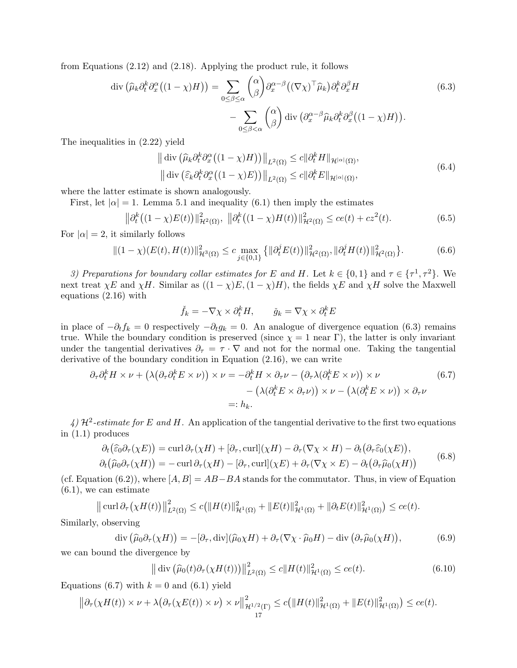from Equations (2.12) and (2.18). Applying the product rule, it follows

$$
\operatorname{div}\left(\widehat{\mu}_k \partial_t^k \partial_x^{\alpha} \left((1-\chi)H\right)\right) = \sum_{0 \le \beta \le \alpha} {\alpha \choose \beta} \partial_x^{\alpha-\beta} \left((\nabla \chi)^{\top} \widehat{\mu}_k\right) \partial_t^k \partial_x^{\beta} H
$$
\n
$$
- \sum_{0 \le \beta < \alpha} {\alpha \choose \beta} \operatorname{div}\left(\partial_x^{\alpha-\beta} \widehat{\mu}_k \partial_t^k \partial_x^{\beta} \left((1-\chi)H\right)\right).
$$
\n(6.3)

The inequalities in (2.22) yield

$$
\left\| \operatorname{div} \left( \widehat{\mu}_k \partial_t^k \partial_x^{\alpha} \left( (1 - \chi) H \right) \right) \right\|_{L^2(\Omega)} \le c \| \partial_t^k H \|_{\mathcal{H}^{|\alpha|}(\Omega)},
$$
  

$$
\left\| \operatorname{div} \left( \widehat{\varepsilon}_k \partial_t^k \partial_x^{\alpha} \left( (1 - \chi) E \right) \right) \right\|_{L^2(\Omega)} \le c \| \partial_t^k E \|_{\mathcal{H}^{|\alpha|}(\Omega)},
$$
\n(6.4)

where the latter estimate is shown analogously.

First, let  $|\alpha| = 1$ . Lemma 5.1 and inequality (6.1) then imply the estimates

$$
\|\partial_t^k ((1-\chi)E(t))\|_{\mathcal{H}^2(\Omega)}^2, \ \|\partial_t^k ((1-\chi)H(t))\|_{\mathcal{H}^2(\Omega)}^2 \le ce(t) + cz^2(t). \tag{6.5}
$$

For  $|\alpha| = 2$ , it similarly follows

$$
\|(1 - \chi)(E(t), H(t))\|_{\mathcal{H}^{3}(\Omega)}^{2} \leq c \max_{j \in \{0, 1\}} \{ \|\partial_{t}^{j} E(t)\|_{\mathcal{H}^{2}(\Omega)}^{2}, \|\partial_{t}^{j} H(t)\|_{\mathcal{H}^{2}(\Omega)}^{2} \}.
$$
 (6.6)

3) Preparations for boundary collar estimates for E and H. Let  $k \in \{0,1\}$  and  $\tau \in \{\tau^1, \tau^2\}$ . We next treat  $\chi E$  and  $\chi H$ . Similar as  $((1 - \chi)E, (1 - \chi)H)$ , the fields  $\chi E$  and  $\chi H$  solve the Maxwell equations (2.16) with

$$
\check{f}_k = -\nabla \chi \times \partial_t^k H, \qquad \check{g}_k = \nabla \chi \times \partial_t^k E
$$

in place of  $-\partial_t f_k = 0$  respectively  $-\partial_t g_k = 0$ . An analogue of divergence equation (6.3) remains true. While the boundary condition is preserved (since  $\chi = 1$  near Γ), the latter is only invariant under the tangential derivatives  $\partial_{\tau} = \tau \cdot \nabla$  and not for the normal one. Taking the tangential derivative of the boundary condition in Equation (2.16), we can write

$$
\partial_{\tau}\partial_{t}^{k}H \times \nu + \left(\lambda\left(\partial_{\tau}\partial_{t}^{k}E \times \nu\right)\right) \times \nu = -\partial_{t}^{k}H \times \partial_{\tau}\nu - \left(\partial_{\tau}\lambda\left(\partial_{t}^{k}E \times \nu\right)\right) \times \nu
$$
\n
$$
-\left(\lambda\left(\partial_{t}^{k}E \times \partial_{\tau}\nu\right)\right) \times \nu - \left(\lambda\left(\partial_{t}^{k}E \times \nu\right)\right) \times \partial_{\tau}\nu
$$
\n
$$
=: h_{k}.
$$
\n(6.7)

4)  $\mathcal{H}^2$ -estimate for E and H. An application of the tangential derivative to the first two equations in (1.1) produces

$$
\partial_t(\widehat{\varepsilon}_0 \partial_\tau(\chi E)) = \operatorname{curl} \partial_\tau(\chi H) + [\partial_\tau, \operatorname{curl}](\chi H) - \partial_\tau(\nabla \chi \times H) - \partial_t(\partial_\tau \widehat{\varepsilon}_0(\chi E)),
$$
  
\n
$$
\partial_t(\widehat{\mu}_0 \partial_\tau(\chi H)) = -\operatorname{curl} \partial_\tau(\chi H) - [\partial_\tau, \operatorname{curl}](\chi E) + \partial_\tau(\nabla \chi \times E) - \partial_t(\partial_\tau \widehat{\mu}_0(\chi H))
$$
\n(6.8)

(cf. Equation (6.2)), where  $[A, B] = AB - BA$  stands for the commutator. Thus, in view of Equation (6.1), we can estimate

$$
\|\operatorname{curl} \partial_{\tau}(\chi H(t))\|_{L^{2}(\Omega)}^{2} \leq c\big(\|H(t)\|_{\mathcal{H}^{1}(\Omega)}^{2} + \|E(t)\|_{\mathcal{H}^{1}(\Omega)}^{2} + \|\partial_{t}E(t)\|_{\mathcal{H}^{1}(\Omega)}^{2}\big) \leq c e(t).
$$

Similarly, observing

$$
\operatorname{div}\left(\widehat{\mu}_0 \partial_\tau(\chi H)\right) = -[\partial_\tau, \operatorname{div}](\widehat{\mu}_0 \chi H) + \partial_\tau (\nabla \chi \cdot \widehat{\mu}_0 H) - \operatorname{div}\left(\partial_\tau \widehat{\mu}_0(\chi H)\right),\tag{6.9}
$$

we can bound the divergence by

$$
\left\| \operatorname{div} \left( \widehat{\mu}_0(t) \partial_\tau (\chi H(t)) \right) \right\|_{L^2(\Omega)}^2 \le c \| H(t) \|_{\mathcal{H}^1(\Omega)}^2 \le c e(t). \tag{6.10}
$$

Equations (6.7) with  $k = 0$  and (6.1) yield

$$
\left\|\partial_{\tau}(\chi H(t))\times\nu+\lambda\big(\partial_{\tau}(\chi E(t))\times\nu\big)\times\nu\right\|_{\mathcal{H}^{1/2}(\Gamma)}^2\leq c\big(\|H(t)\|_{\mathcal{H}^1(\Omega)}^2+\|E(t)\|_{\mathcal{H}^1(\Omega)}^2\big)\leq ce(t).
$$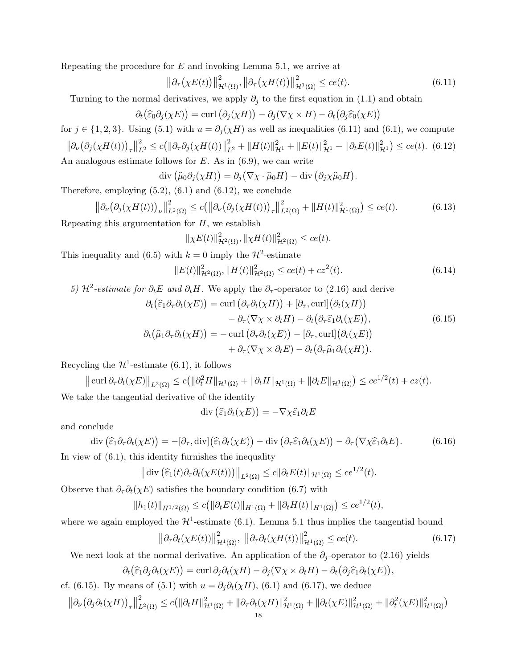Repeating the procedure for  $E$  and invoking Lemma 5.1, we arrive at

$$
\left\|\partial_{\tau}\left(\chi E(t)\right)\right\|_{\mathcal{H}^{1}(\Omega)}^{2}, \left\|\partial_{\tau}\left(\chi H(t)\right)\right\|_{\mathcal{H}^{1}(\Omega)}^{2} \le c e(t). \tag{6.11}
$$

Turning to the normal derivatives, we apply  $\partial_j$  to the first equation in (1.1) and obtain

$$
\partial_t(\widehat{\varepsilon}_0 \partial_j(\chi E)) = \text{curl}(\partial_j(\chi H)) - \partial_j(\nabla \chi \times H) - \partial_t(\partial_j \widehat{\varepsilon}_0(\chi E))
$$

for  $j \in \{1, 2, 3\}$ . Using (5.1) with  $u = \partial_j(\chi H)$  as well as inequalities (6.11) and (6.1), we compute  $\left\|\partial_\nu \big(\partial_j(\chi H(t))\big)_\tau\right\|$  $\sum_{L^2}^2 \leq c \big( \big\| \partial_\tau \partial_j (\chi H(t)) \big\|$  $\frac{2}{L^2} + ||H(t)||_{\mathcal{H}^1}^2 + ||E(t)||_{\mathcal{H}^1}^2 + ||\partial_t E(t)||_{\mathcal{H}^1}^2) \leq ce(t).$  (6.12) An analogous estimate follows for  $E$ . As in  $(6.9)$ , we can write

$$
\operatorname{div}(\widehat{\mu}_0 \partial_j(\chi H)) = \partial_j (\nabla \chi \cdot \widehat{\mu}_0 H) - \operatorname{div}(\partial_j \chi \widehat{\mu}_0 H).
$$

Therefore, employing  $(5.2)$ ,  $(6.1)$  and  $(6.12)$ , we conclude

$$
\|\partial_{\nu}\big(\partial_j(\chi H(t))\big)_{\nu}\|_{L^2(\Omega)}^2 \le c \big(\|\partial_{\nu}\big(\partial_j(\chi H(t))\big)_{\tau}\|_{L^2(\Omega)}^2 + \|H(t)\|_{\mathcal{H}^1(\Omega)}^2\big) \le ce(t). \tag{6.13}
$$

Repeating this argumentation for  $H$ , we establish

$$
\|\chi E(t)\|_{\mathcal{H}^2(\Omega)}^2, \|\chi H(t)\|_{\mathcal{H}^2(\Omega)}^2 \le ce(t).
$$

This inequality and (6.5) with  $k = 0$  imply the  $\mathcal{H}^2$ -estimate

$$
||E(t)||_{\mathcal{H}^{2}(\Omega)}^{2}, ||H(t)||_{\mathcal{H}^{2}(\Omega)}^{2} \le ce(t) + cz^{2}(t).
$$
\n(6.14)

5)  $\mathcal{H}^2$ -estimate for  $\partial_t E$  and  $\partial_t H$ . We apply the  $\partial_{\tau}$ -operator to (2.16) and derive

$$
\partial_t(\widehat{\varepsilon}_1 \partial_\tau \partial_t(\chi E)) = \text{curl} \left( \partial_\tau \partial_t(\chi H) \right) + [\partial_\tau, \text{curl}](\partial_t(\chi H)) \n- \partial_\tau (\nabla \chi \times \partial_t H) - \partial_t (\partial_\tau \widehat{\varepsilon}_1 \partial_t(\chi E)), \n\partial_t(\widehat{\mu}_1 \partial_\tau \partial_t(\chi H)) = - \text{curl} (\partial_\tau \partial_t(\chi E)) - [\partial_\tau, \text{curl}](\partial_t(\chi E)) \n+ \partial_\tau (\nabla \chi \times \partial_t E) - \partial_t (\partial_\tau \widehat{\mu}_1 \partial_t(\chi H)).
$$
\n(6.15)

Recycling the  $\mathcal{H}^1$ -estimate (6.1), it follows

$$
\|\operatorname{curl} \partial_{\tau} \partial_t (\chi E)\|_{L^2(\Omega)} \le c \big( \|\partial_t^2 H\|_{\mathcal{H}^1(\Omega)} + \|\partial_t H\|_{\mathcal{H}^1(\Omega)} + \|\partial_t E\|_{\mathcal{H}^1(\Omega)} \big) \le c e^{1/2} (t) + c z(t).
$$
  
We take the tangential derivative of the identity

$$
\operatorname{div}\left(\widehat{\varepsilon}_1 \partial_t(\chi E)\right) = -\nabla \chi \widehat{\varepsilon}_1 \partial_t E
$$

and conclude

$$
\operatorname{div}\left(\hat{\varepsilon}_1 \partial_\tau \partial_t(\chi E)\right) = -[\partial_\tau, \operatorname{div}]\left(\hat{\varepsilon}_1 \partial_t(\chi E)\right) - \operatorname{div}\left(\partial_\tau \hat{\varepsilon}_1 \partial_t(\chi E)\right) - \partial_\tau \left(\nabla \chi \hat{\varepsilon}_1 \partial_t E\right). \tag{6.16}
$$
\n
$$
\operatorname{view\ of\ (6.1)\ this\ identity\ furnishes\ the\ inequality}
$$

In view of (6.1), this identity furnishes the inequality

$$
\|\operatorname{div}\left(\widehat{\varepsilon}_1(t)\partial_\tau\partial_t(\chi E(t))\right)\|_{L^2(\Omega)} \leq c\|\partial_t E(t)\|_{\mathcal{H}^1(\Omega)} \leq c e^{1/2}(t).
$$

Observe that  $\partial_{\tau}\partial_{t}(\chi E)$  satisfies the boundary condition (6.7) with

$$
||h_1(t)||_{H^{1/2}(\Omega)} \le c (||\partial_t E(t)||_{H^1(\Omega)} + ||\partial_t H(t)||_{H^1(\Omega)}) \le c e^{1/2}(t),
$$

where we again employed the  $\mathcal{H}^1$ -estimate (6.1). Lemma 5.1 thus implies the tangential bound

$$
\left\|\partial_{\tau}\partial_{t}(\chi E(t))\right\|_{\mathcal{H}^{1}(\Omega)}^{2}, \ \left\|\partial_{\tau}\partial_{t}(\chi H(t))\right\|_{\mathcal{H}^{1}(\Omega)}^{2} \le c e(t). \tag{6.17}
$$

We next look at the normal derivative. An application of the  $\partial_i$ -operator to (2.16) yields

$$
\partial_t(\widehat{\varepsilon}_1 \partial_j \partial_t(\chi E)) = \operatorname{curl} \partial_j \partial_t(\chi H) - \partial_j(\nabla \chi \times \partial_t H) - \partial_t(\partial_j \widehat{\varepsilon}_1 \partial_t(\chi E)),
$$

cf. (6.15). By means of (5.1) with  $u = \partial_j \partial_t(\chi H)$ , (6.1) and (6.17), we deduce

$$
\left\|\partial_{\nu}\left(\partial_j\partial_t(\chi H)\right)_\tau\right\|_{L^2(\Omega)}^2 \le c \left(\left\|\partial_t H\right\|_{\mathcal{H}^1(\Omega)}^2 + \|\partial_\tau\partial_t(\chi H)\|_{\mathcal{H}^1(\Omega)}^2 + \|\partial_t(\chi E)\|_{\mathcal{H}^1(\Omega)}^2 + \|\partial_t^2(\chi E)\|_{\mathcal{H}^1(\Omega)}^2\right)
$$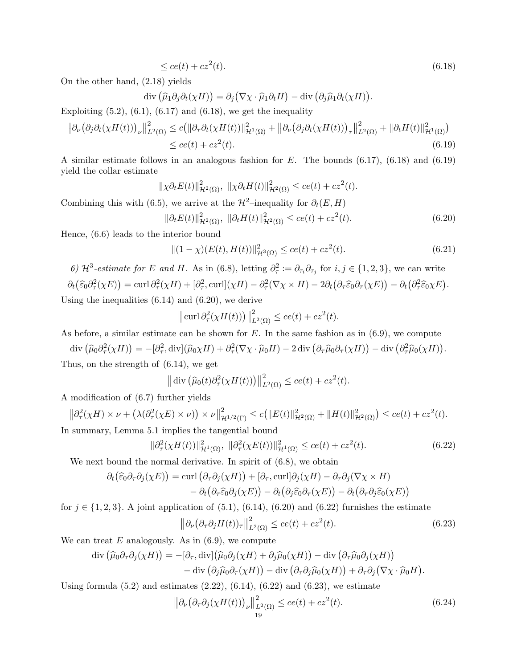$$
\leq ce(t) + cz^2(t). \tag{6.18}
$$

On the other hand, (2.18) yields

div  $(\widehat{\mu}_1 \partial_j \partial_t (\chi H)) = \partial_j (\nabla \chi \cdot \widehat{\mu}_1 \partial_t H) - \text{div} (\partial_j \widehat{\mu}_1 \partial_t (\chi H)).$ 

Exploiting  $(5.2)$ ,  $(6.1)$ ,  $(6.17)$  and  $(6.18)$ , we get the inequality

$$
\|\partial_{\nu}(\partial_j\partial_t(\chi H(t)))_{\nu}\|_{L^2(\Omega)}^2 \le c \big(\|\partial_{\tau}\partial_t(\chi H(t))\|_{\mathcal{H}^1(\Omega)}^2 + \|\partial_{\nu}(\partial_j\partial_t(\chi H(t)))_{\tau}\|_{L^2(\Omega)}^2 + \|\partial_t H(t)\|_{\mathcal{H}^1(\Omega)}^2\big) \le c e(t) + c z^2(t).
$$
\n(6.19)

A similar estimate follows in an analogous fashion for E. The bounds (6.17), (6.18) and (6.19) yield the collar estimate

$$
\|\chi \partial_t E(t)\|_{\mathcal{H}^2(\Omega)}^2, \ \|\chi \partial_t H(t)\|_{\mathcal{H}^2(\Omega)}^2 \le c e(t) + c z^2(t).
$$

Combining this with (6.5), we arrive at the  $\mathcal{H}^2$ –inequality for  $\partial_t(E, H)$ 

$$
\|\partial_t E(t)\|_{\mathcal{H}^2(\Omega)}^2, \ \|\partial_t H(t)\|_{\mathcal{H}^2(\Omega)}^2 \le c e(t) + c z^2(t). \tag{6.20}
$$

Hence, (6.6) leads to the interior bound

$$
||(1 - \chi)(E(t), H(t))||_{\mathcal{H}^{3}(\Omega)}^{2} \le ce(t) + cz^{2}(t).
$$
\n(6.21)

6)  $\mathcal{H}^3$ -estimate for E and H. As in (6.8), letting  $\partial_{\tau}^2 := \partial_{\tau_i}\partial_{\tau_j}$  for  $i, j \in \{1, 2, 3\}$ , we can write  $\partial_t(\widehat{\varepsilon}_0 \partial_\tau^2(\chi E)) = \text{curl} \,\partial_\tau^2(\chi H) + [\partial_\tau^2, \text{curl}](\chi H) - \partial_\tau^2(\nabla \chi \times H) - 2\partial_t(\partial_\tau \widehat{\varepsilon}_0 \partial_\tau(\chi E)) - \partial_t(\partial_\tau^2 \widehat{\varepsilon}_0 \chi E).$ 

Using the inequalities  $(6.14)$  and  $(6.20)$ , we derive

$$
\|\operatorname{curl} \partial_{\tau}^{2}(\chi H(t))\|_{L^{2}(\Omega)}^{2} \le c e(t) + c z^{2}(t).
$$

As before, a similar estimate can be shown for  $E$ . In the same fashion as in  $(6.9)$ , we compute

 $\text{div}\left(\widehat{\mu}_0 \partial_\tau^2(\chi H)\right) = -[\partial_\tau^2, \text{div}](\widehat{\mu}_0 \chi H) + \partial_\tau^2(\nabla \chi \cdot \widehat{\mu}_0 H) - 2 \,\text{div}\left(\partial_\tau \widehat{\mu}_0 \partial_\tau (\chi H)\right) - \text{div}\left(\partial_\tau^2 \widehat{\mu}_0 (\chi H)\right).$ Thus, on the strength of (6.14), we get

$$
\|\operatorname{div}\left(\widehat{\mu}_0(t)\partial_{\tau}^2(\chi H(t))\right)\|_{L^2(\Omega)}^2 \le c e(t) + c z^2(t).
$$

A modification of (6.7) further yields

$$
\left\|\partial_{\tau}^{2}(\chi H) \times \nu + \left(\lambda(\partial_{\tau}^{2}(\chi E) \times \nu)\right) \times \nu\right\|_{\mathcal{H}^{1/2}(\Gamma)}^{2} \le c\left(\|E(t)\|_{\mathcal{H}^{2}(\Omega)}^{2} + \|H(t)\|_{\mathcal{H}^{2}(\Omega)}^{2}\right) \le c e(t) + c z^{2}(t).
$$
  
In summary, Lemma 5.1 implies the tangential bound

$$
\|\partial_{\tau}^{2}(\chi H(t))\|_{\mathcal{H}^{1}(\Omega)}^{2}, \|\partial_{\tau}^{2}(\chi E(t))\|_{\mathcal{H}^{1}(\Omega)}^{2} \le c e(t) + c z^{2}(t). \tag{6.22}
$$

We next bound the normal derivative. In spirit of  $(6.8)$ , we obtain

$$
\partial_t(\widehat{\varepsilon}_0 \partial_\tau \partial_j(\chi E)) = \text{curl} \left( \partial_\tau \partial_j(\chi H) \right) + [\partial_\tau, \text{curl}] \partial_j(\chi H) - \partial_\tau \partial_j (\nabla \chi \times H) \n- \partial_t (\partial_\tau \widehat{\varepsilon}_0 \partial_j(\chi E)) - \partial_t (\partial_j \widehat{\varepsilon}_0 \partial_\tau(\chi E)) - \partial_t (\partial_\tau \partial_j \widehat{\varepsilon}_0(\chi E))
$$

for  $j \in \{1,2,3\}$ . A joint application of  $(5.1)$ ,  $(6.14)$ ,  $(6.20)$  and  $(6.22)$  furnishes the estimate

$$
\left\|\partial_{\nu}\left(\partial_{\tau}\partial_{j}H(t)\right)_{\tau}\right\|_{L^{2}(\Omega)}^{2} \le c e(t) + c z^{2}(t). \tag{6.23}
$$

We can treat  $E$  analogously. As in  $(6.9)$ , we compute

$$
\operatorname{div} (\widehat{\mu}_0 \partial_\tau \partial_j (\chi H)) = -[\partial_\tau, \operatorname{div}](\widehat{\mu}_0 \partial_j (\chi H) + \partial_j \widehat{\mu}_0 (\chi H)) - \operatorname{div} (\partial_\tau \widehat{\mu}_0 \partial_j (\chi H)) - \operatorname{div} (\partial_j \widehat{\mu}_0 \partial_\tau (\chi H)) - \operatorname{div} (\partial_\tau \partial_j \widehat{\mu}_0 (\chi H)) + \partial_\tau \partial_j (\nabla \chi \cdot \widehat{\mu}_0 H).
$$

Using formula  $(5.2)$  and estimates  $(2.22)$ ,  $(6.14)$ ,  $(6.22)$  and  $(6.23)$ , we estimate

$$
\left\| \partial_{\nu} \left( \partial_{\tau} \partial_{j} (\chi H(t)) \right)_{\nu} \right\|_{L^{2}(\Omega)}^{2} \le c e(t) + c z^{2}(t). \tag{6.24}
$$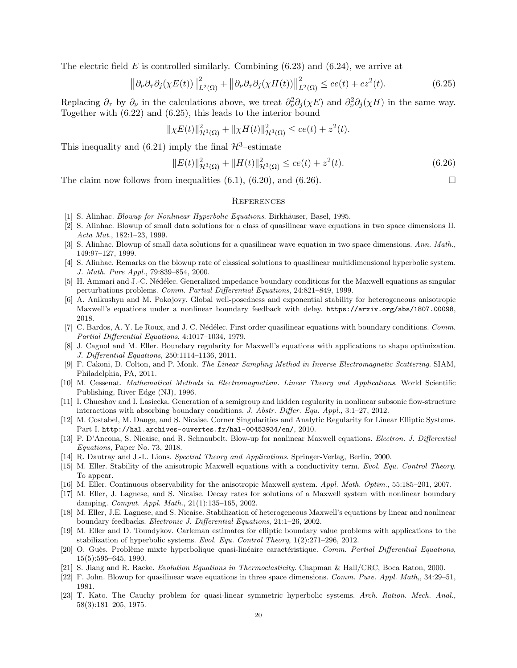The electric field E is controlled similarly. Combining  $(6.23)$  and  $(6.24)$ , we arrive at

$$
\left\|\partial_{\nu}\partial_{\tau}\partial_{j}(\chi E(t))\right\|_{L^{2}(\Omega)}^{2} + \left\|\partial_{\nu}\partial_{\tau}\partial_{j}(\chi H(t))\right\|_{L^{2}(\Omega)}^{2} \le c e(t) + c z^{2}(t). \tag{6.25}
$$

Replacing  $\partial_{\tau}$  by  $\partial_{\nu}$  in the calculations above, we treat  $\partial_{\nu}^{2}\partial_{j}(\chi E)$  and  $\partial_{\nu}^{2}\partial_{j}(\chi H)$  in the same way. Together with (6.22) and (6.25), this leads to the interior bound

$$
\|\chi E(t)\|_{\mathcal{H}^3(\Omega)}^2 + \|\chi H(t)\|_{\mathcal{H}^3(\Omega)}^2 \le ce(t) + z^2(t).
$$

This inequality and (6.21) imply the final  $\mathcal{H}^3$ –estimate

$$
||E(t)||_{\mathcal{H}^{3}(\Omega)}^{2} + ||H(t)||_{\mathcal{H}^{3}(\Omega)}^{2} \le ce(t) + z^{2}(t).
$$
\n(6.26)

The claim now follows from inequalities  $(6.1)$ ,  $(6.20)$ , and  $(6.26)$ .

### **REFERENCES**

- [1] S. Alinhac. *Blowup for Nonlinear Hyperbolic Equations*. Birkhäuser, Basel, 1995.
- [2] S. Alinhac. Blowup of small data solutions for a class of quasilinear wave equations in two space dimensions II. Acta Mat., 182:1–23, 1999.
- [3] S. Alinhac. Blowup of small data solutions for a quasilinear wave equation in two space dimensions. Ann. Math., 149:97–127, 1999.
- [4] S. Alinhac. Remarks on the blowup rate of classical solutions to quasilinear multidimensional hyperbolic system. J. Math. Pure Appl., 79:839–854, 2000.
- [5] H. Ammari and J.-C. Nédélec. Generalized impedance boundary conditions for the Maxwell equations as singular perturbations problems. Comm. Partial Differential Equations, 24:821–849, 1999.
- [6] A. Anikushyn and M. Pokojovy. Global well-posedness and exponential stability for heterogeneous anisotropic Maxwell's equations under a nonlinear boundary feedback with delay. https://arxiv.org/abs/1807.00098, 2018.
- [7] C. Bardos, A. Y. Le Roux, and J. C. Nédélec. First order quasilinear equations with boundary conditions. Comm. Partial Differential Equations, 4:1017–1034, 1979.
- [8] J. Cagnol and M. Eller. Boundary regularity for Maxwell's equations with applications to shape optimization. J. Differential Equations, 250:1114–1136, 2011.
- [9] F. Cakoni, D. Colton, and P. Monk. The Linear Sampling Method in Inverse Electromagnetic Scattering. SIAM, Philadelphia, PA, 2011.
- [10] M. Cessenat. Mathematical Methods in Electromagnetism. Linear Theory and Applications. World Scientific Publishing, River Edge (NJ), 1996.
- [11] I. Chueshov and I. Lasiecka. Generation of a semigroup and hidden regularity in nonlinear subsonic flow-structure interactions with absorbing boundary conditions. J. Abstr. Differ. Equ. Appl., 3:1–27, 2012.
- [12] M. Costabel, M. Dauge, and S. Nicaise. Corner Singularities and Analytic Regularity for Linear Elliptic Systems. Part I. http://hal.archives-ouvertes.fr/hal-00453934/en/, 2010.
- [13] P. D'Ancona, S. Nicaise, and R. Schnaubelt. Blow-up for nonlinear Maxwell equations. Electron. J. Differential Equations, Paper No. 73, 2018.
- [14] R. Dautray and J.-L. Lions. Spectral Theory and Applications. Springer-Verlag, Berlin, 2000.
- [15] M. Eller. Stability of the anisotropic Maxwell equations with a conductivity term. Evol. Equ. Control Theory. To appear.
- [16] M. Eller. Continuous observability for the anisotropic Maxwell system. Appl. Math. Optim., 55:185–201, 2007.
- [17] M. Eller, J. Lagnese, and S. Nicaise. Decay rates for solutions of a Maxwell system with nonlinear boundary damping. Comput. Appl. Math., 21(1):135–165, 2002.
- [18] M. Eller, J.E. Lagnese, and S. Nicaise. Stabilization of heterogeneous Maxwell's equations by linear and nonlinear boundary feedbacks. Electronic J. Differential Equations, 21:1–26, 2002.
- [19] M. Eller and D. Toundykov. Carleman estimates for elliptic boundary value problems with applications to the stabilization of hyperbolic systems. Evol. Equ. Control Theory, 1(2):271–296, 2012.
- [20] O. Guès. Problème mixte hyperbolique quasi-linéaire caractéristique. Comm. Partial Differential Equations, 15(5):595–645, 1990.
- [21] S. Jiang and R. Racke. Evolution Equations in Thermoelasticity. Chapman & Hall/CRC, Boca Raton, 2000.
- [22] F. John. Blowup for quasilinear wave equations in three space dimensions. Comm. Pure. Appl. Math.,  $34:29-51$ , 1981.
- [23] T. Kato. The Cauchy problem for quasi-linear symmetric hyperbolic systems. Arch. Ration. Mech. Anal., 58(3):181–205, 1975.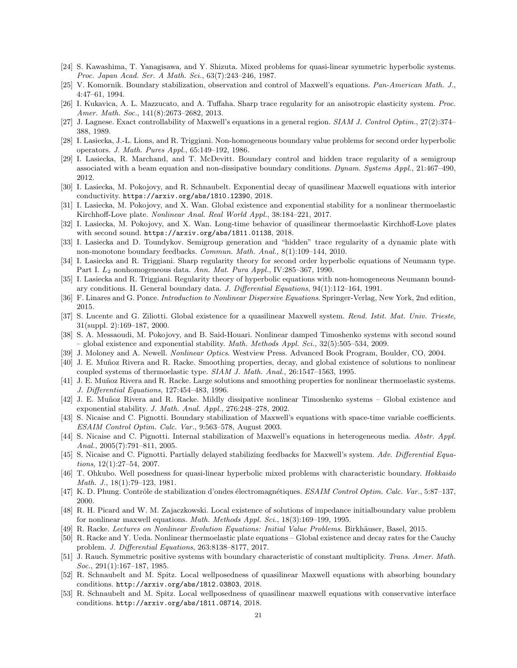- [24] S. Kawashima, T. Yanagisawa, and Y. Shizuta. Mixed problems for quasi-linear symmetric hyperbolic systems. Proc. Japan Acad. Ser. A Math. Sci., 63(7):243–246, 1987.
- [25] V. Komornik. Boundary stabilization, observation and control of Maxwell's equations. Pan-American Math. J., 4:47–61, 1994.
- [26] I. Kukavica, A. L. Mazzucato, and A. Tuffaha. Sharp trace regularity for an anisotropic elasticity system. Proc. Amer. Math. Soc., 141(8):2673–2682, 2013.
- [27] J. Lagnese. Exact controllability of Maxwell's equations in a general region. SIAM J. Control Optim., 27(2):374– 388, 1989.
- [28] I. Lasiecka, J.-L. Lions, and R. Triggiani. Non-homogeneous boundary value problems for second order hyperbolic operators. J. Math. Pures Appl., 65:149–192, 1986.
- [29] I. Lasiecka, R. Marchand, and T. McDevitt. Boundary control and hidden trace regularity of a semigroup associated with a beam equation and non-dissipative boundary conditions. Dynam. Systems Appl., 21:467–490, 2012.
- [30] I. Lasiecka, M. Pokojovy, and R. Schnaubelt. Exponential decay of quasilinear Maxwell equations with interior conductivity. https://arxiv.org/abs/1810.12390, 2018.
- [31] I. Lasiecka, M. Pokojovy, and X. Wan. Global existence and exponential stability for a nonlinear thermoelastic Kirchhoff-Love plate. Nonlinear Anal. Real World Appl., 38:184–221, 2017.
- [32] I. Lasiecka, M. Pokojovy, and X. Wan. Long-time behavior of quasilinear thermoelastic Kirchhoff-Love plates with second sound. https://arxiv.org/abs/1811.01138, 2018.
- [33] I. Lasiecka and D. Toundykov. Semigroup generation and "hidden" trace regularity of a dynamic plate with non-monotone boundary feedbacks. Commun. Math. Anal., 8(1):109–144, 2010.
- [34] I. Lasiecka and R. Triggiani. Sharp regularity theory for second order hyperbolic equations of Neumann type. Part I. L<sup>2</sup> nonhomogeneous data. Ann. Mat. Pura Appl., IV:285–367, 1990.
- [35] I. Lasiecka and R. Triggiani. Regularity theory of hyperbolic equations with non-homogeneous Neumann boundary conditions. II. General boundary data. J. Differential Equations, 94(1):112–164, 1991.
- [36] F. Linares and G. Ponce. *Introduction to Nonlinear Dispersive Equations*. Springer-Verlag, New York, 2nd edition. 2015.
- [37] S. Lucente and G. Ziliotti. Global existence for a quasilinear Maxwell system. Rend. Istit. Mat. Univ. Trieste, 31(suppl. 2):169–187, 2000.
- [38] S. A. Messaoudi, M. Pokojovy, and B. Said-Houari. Nonlinear damped Timoshenko systems with second sound – global existence and exponential stability. *Math. Methods Appl. Sci.*,  $32(5):505-534$ ,  $2009$ .
- [39] J. Moloney and A. Newell. *Nonlinear Optics*. Westview Press. Advanced Book Program, Boulder, CO, 2004.
- [40] J. E. Muñoz Rivera and R. Racke. Smoothing properties, decay, and global existence of solutions to nonlinear coupled systems of thermoelastic type. SIAM J. Math. Anal., 26:1547–1563, 1995.
- [41] J. E. Muñoz Rivera and R. Racke. Large solutions and smoothing properties for nonlinear thermoelastic systems. J. Differential Equations, 127:454–483, 1996.
- [42] J. E. Muñoz Rivera and R. Racke. Mildly dissipative nonlinear Timoshenko systems Global existence and exponential stability. J. Math. Anal. Appl., 276:248–278, 2002.
- [43] S. Nicaise and C. Pignotti. Boundary stabilization of Maxwell's equations with space-time variable coefficients. ESAIM Control Optim. Calc. Var., 9:563–578, August 2003.
- [44] S. Nicaise and C. Pignotti. Internal stabilization of Maxwell's equations in heterogeneous media. Abstr. Appl. Anal., 2005(7):791–811, 2005.
- [45] S. Nicaise and C. Pignotti. Partially delayed stabilizing feedbacks for Maxwell's system. Adv. Differential Equations, 12(1):27–54, 2007.
- [46] T. Ohkubo. Well posedness for quasi-linear hyperbolic mixed problems with characteristic boundary. Hokkaido Math. J., 18(1):79–123, 1981.
- [47] K. D. Phung. Contrôle de stabilization d'ondes électromagnétiques. ESAIM Control Optim. Calc. Var., 5:87–137, 2000.
- [48] R. H. Picard and W. M. Zajaczkowski. Local existence of solutions of impedance initialboundary value problem for nonlinear maxwell equations. Math. Methods Appl. Sci., 18(3):169–199, 1995.
- [49] R. Racke. Lectures on Nonlinear Evolution Equations: Initial Value Problems. Birkhäuser, Basel, 2015.
- [50] R. Racke and Y. Ueda. Nonlinear thermoelastic plate equations Global existence and decay rates for the Cauchy problem. J. Differential Equations, 263:8138–8177, 2017.
- [51] J. Rauch. Symmetric positive systems with boundary characteristic of constant multiplicity. Trans. Amer. Math. Soc., 291(1):167-187, 1985.
- [52] R. Schnaubelt and M. Spitz. Local wellposedness of quasilinear Maxwell equations with absorbing boundary conditions. http://arxiv.org/abs/1812.03803, 2018.
- [53] R. Schnaubelt and M. Spitz. Local wellposedness of quasilinear maxwell equations with conservative interface conditions. http://arxiv.org/abs/1811.08714, 2018.